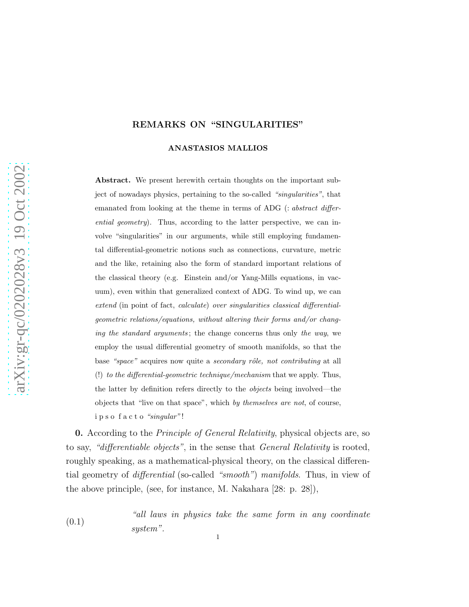## REMARKS ON "SINGULARITIES"

#### ANASTASIOS MALLIOS

Abstract. We present herewith certain thoughts on the important subject of nowadays physics, pertaining to the so-called "singularities", that emanated from looking at the theme in terms of ADG (: abstract differential geometry). Thus, according to the latter perspective, we can involve "singularities" in our arguments, while still employing fundamental differential-geometric notions such as connections, curvature, metric and the like, retaining also the form of standard important relations of the classical theory (e.g. Einstein and/or Yang-Mills equations, in vacuum), even within that generalized context of ADG. To wind up, we can extend (in point of fact, calculate) over singularities classical differentialgeometric relations/equations, without altering their forms and/or changing the standard arguments; the change concerns thus only the way, we employ the usual differential geometry of smooth manifolds, so that the base "space" acquires now quite a secondary rôle, not contributing at all (!) to the differential-geometric technique/mechanism that we apply. Thus, the latter by definition refers directly to the objects being involved—the objects that "live on that space", which by themselves are not, of course, i p s o f a c t o "singular" !

0. According to the Principle of General Relativity, physical objects are, so to say, "differentiable objects", in the sense that General Relativity is rooted, roughly speaking, as a mathematical-physical theory, on the classical differential geometry of differential (so-called "smooth") manifolds. Thus, in view of the above principle, (see, for instance, M. Nakahara [28: p. 28]),

(0.1) "all laws in physics take the same form in any coordinate system".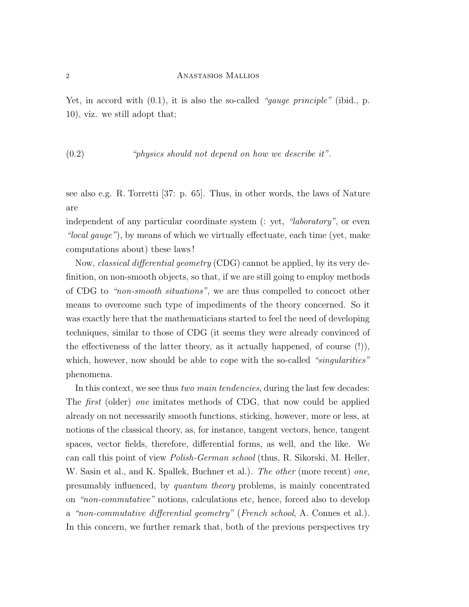Yet, in accord with  $(0.1)$ , it is also the so-called "gauge principle" (ibid., p. 10), viz. we still adopt that;

(0.2) "physics should not depend on how we describe it".

see also e.g. R. Torretti [37: p. 65]. Thus, in other words, the laws of Nature are

independent of any particular coordinate system (: yet, "laboratory", or even "local gauge"), by means of which we virtually effectuate, each time (yet, make computations about) these laws !

Now, classical differential geometry (CDG) cannot be applied, by its very definition, on non-smooth objects, so that, if we are still going to employ methods of CDG to "non-smooth situations", we are thus compelled to concoct other means to overcome such type of impediments of the theory concerned. So it was exactly here that the mathematicians started to feel the need of developing techniques, similar to those of CDG (it seems they were already convinced of the effectiveness of the latter theory, as it actually happened, of course (!)), which, however, now should be able to cope with the so-called "singularities" phenomena.

In this context, we see thus *two main tendencies*, during the last few decades: The first (older) one imitates methods of CDG, that now could be applied already on not necessarily smooth functions, sticking, however, more or less, at notions of the classical theory, as, for instance, tangent vectors, hence, tangent spaces, vector fields, therefore, differential forms, as well, and the like. We can call this point of view Polish-German school (thus, R. Sikorski, M. Heller, W. Sasin et al., and K. Spallek, Buchner et al.). The other (more recent) one, presumably influenced, by quantum theory problems, is mainly concentrated on "non-commutative" notions, calculations etc, hence, forced also to develop a "non-commutative differential geometry" (French school, A. Connes et al.). In this concern, we further remark that, both of the previous perspectives try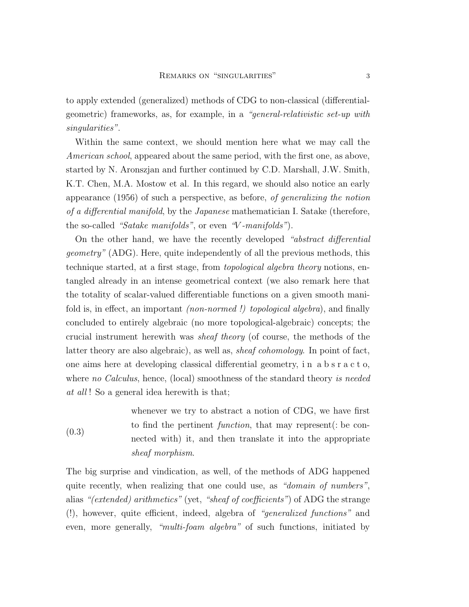to apply extended (generalized) methods of CDG to non-classical (differentialgeometric) frameworks, as, for example, in a "general-relativistic set-up with singularities".

Within the same context, we should mention here what we may call the American school, appeared about the same period, with the first one, as above, started by N. Aronszjan and further continued by C.D. Marshall, J.W. Smith, K.T. Chen, M.A. Mostow et al. In this regard, we should also notice an early appearance (1956) of such a perspective, as before, of generalizing the notion of a differential manifold, by the Japanese mathematician I. Satake (therefore, the so-called "Satake manifolds", or even "V-manifolds").

On the other hand, we have the recently developed "abstract differential geometry" (ADG). Here, quite independently of all the previous methods, this technique started, at a first stage, from topological algebra theory notions, entangled already in an intense geometrical context (we also remark here that the totality of scalar-valued differentiable functions on a given smooth manifold is, in effect, an important (non-normed !) topological algebra), and finally concluded to entirely algebraic (no more topological-algebraic) concepts; the crucial instrument herewith was sheaf theory (of course, the methods of the latter theory are also algebraic), as well as, sheaf cohomology. In point of fact, one aims here at developing classical differential geometry, i n a b s r a c t o, where no Calculus, hence, (local) smoothness of the standard theory is needed at all! So a general idea herewith is that;

(0.3) whenever we try to abstract a notion of CDG, we have first to find the pertinent function, that may represent(: be connected with) it, and then translate it into the appropriate sheaf morphism.

The big surprise and vindication, as well, of the methods of ADG happened quite recently, when realizing that one could use, as "domain of numbers", alias "(extended) arithmetics" (yet, "sheaf of coefficients") of ADG the strange (!), however, quite efficient, indeed, algebra of "generalized functions" and even, more generally, "multi-foam algebra" of such functions, initiated by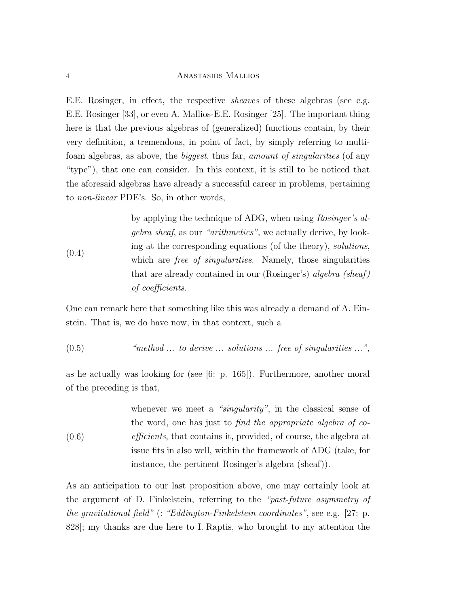E.E. Rosinger, in effect, the respective sheaves of these algebras (see e.g. E.E. Rosinger [33], or even A. Mallios-E.E. Rosinger [25]. The important thing here is that the previous algebras of (generalized) functions contain, by their very definition, a tremendous, in point of fact, by simply referring to multifoam algebras, as above, the biggest, thus far, amount of singularities (of any "type"), that one can consider. In this context, it is still to be noticed that the aforesaid algebras have already a successful career in problems, pertaining to non-linear PDE's. So, in other words,

(0.4) by applying the technique of ADG, when using Rosinger's algebra sheaf, as our "arithmetics", we actually derive, by looking at the corresponding equations (of the theory), solutions, which are *free of singularities*. Namely, those singularities that are already contained in our (Rosinger's) algebra (sheaf ) of coefficients.

One can remark here that something like this was already a demand of A. Einstein. That is, we do have now, in that context, such a

 $(0.5)$  "method ... to derive ... solutions ... free of singularities ...",

as he actually was looking for (see [6: p. 165]). Furthermore, another moral of the preceding is that,

(0.6) whenever we meet a "*singularity*", in the classical sense of the word, one has just to find the appropriate algebra of coefficients, that contains it, provided, of course, the algebra at issue fits in also well, within the framework of ADG (take, for instance, the pertinent Rosinger's algebra (sheaf)).

As an anticipation to our last proposition above, one may certainly look at the argument of D. Finkelstein, referring to the "past-future asymmetry of the gravitational field" (: "Eddington-Finkelstein coordinates", see e.g. [27: p. 828]; my thanks are due here to I. Raptis, who brought to my attention the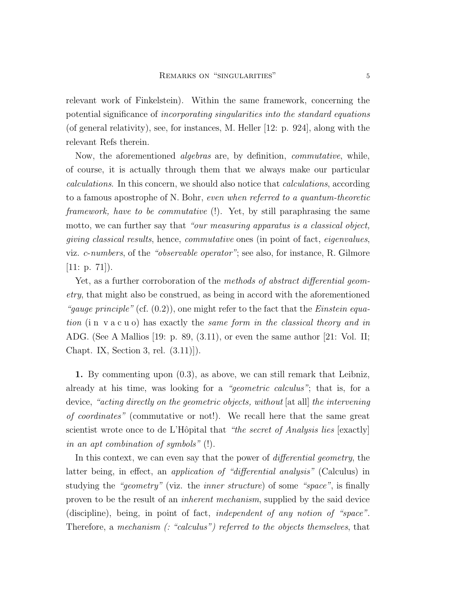relevant work of Finkelstein). Within the same framework, concerning the potential significance of incorporating singularities into the standard equations (of general relativity), see, for instances, M. Heller [12: p. 924], along with the relevant Refs therein.

Now, the aforementioned algebras are, by definition, commutative, while, of course, it is actually through them that we always make our particular calculations. In this concern, we should also notice that calculations, according to a famous apostrophe of N. Bohr, even when referred to a quantum-theoretic framework, have to be commutative (!). Yet, by still paraphrasing the same motto, we can further say that "our measuring apparatus is a classical object, giving classical results, hence, commutative ones (in point of fact, eigenvalues, viz. c-numbers, of the "observable operator"; see also, for instance, R. Gilmore [11: p. 71]).

Yet, as a further corroboration of the methods of abstract differential geometry, that might also be construed, as being in accord with the aforementioned "gauge principle" (cf.  $(0.2)$ ), one might refer to the fact that the *Einstein equa*tion (i n v a c u o) has exactly the same form in the classical theory and in ADG. (See A Mallios [19: p. 89, (3.11), or even the same author [21: Vol. II; Chapt. IX, Section 3, rel. (3.11)]).

1. By commenting upon (0.3), as above, we can still remark that Leibniz, already at his time, was looking for a "geometric calculus"; that is, for a device, "acting directly on the geometric objects, without [at all] the intervening of coordinates" (commutative or not!). We recall here that the same great scientist wrote once to de L'Hôpital that "the secret of Analysis lies [exactly] in an apt combination of symbols" (!).

In this context, we can even say that the power of *differential geometry*, the latter being, in effect, an application of "differential analysis" (Calculus) in studying the "geometry" (viz. the inner structure) of some "space", is finally proven to be the result of an inherent mechanism, supplied by the said device (discipline), being, in point of fact, independent of any notion of "space". Therefore, a mechanism (: "calculus") referred to the objects themselves, that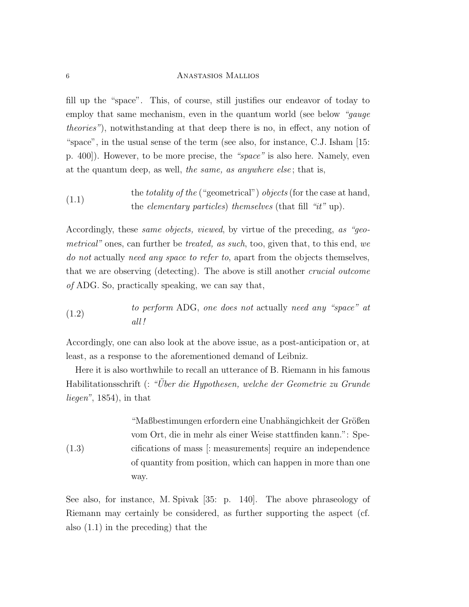fill up the "space". This, of course, still justifies our endeavor of today to employ that same mechanism, even in the quantum world (see below "*qauqe* theories"), notwithstanding at that deep there is no, in effect, any notion of "space", in the usual sense of the term (see also, for instance, C.J. Isham [15: p. 400]). However, to be more precise, the "space" is also here. Namely, even at the quantum deep, as well, the same, as anywhere else; that is,

(1.1) the totality of the ("geometrical") objects (for the case at hand, the elementary particles) themselves (that fill "it" up).

Accordingly, these same objects, viewed, by virtue of the preceding, as "geometrical" ones, can further be treated, as such, too, given that, to this end, we do not actually need any space to refer to, apart from the objects themselves, that we are observing (detecting). The above is still another crucial outcome of ADG. So, practically speaking, we can say that,

(1.2) to perform ADG, one does not actually need any "space" at all !

Accordingly, one can also look at the above issue, as a post-anticipation or, at least, as a response to the aforementioned demand of Leibniz.

Here it is also worthwhile to recall an utterance of B. Riemann in his famous Habilitationsschrift (: "Über die Hypothesen, welche der Geometrie zu Grunde liegen", 1854), in that

(1.3) "Maßbestimungen erfordern eine Unabhängichkeit der Größen vom Ort, die in mehr als einer Weise stattfinden kann.": Specifications of mass [: measurements] require an independence of quantity from position, which can happen in more than one way.

See also, for instance, M. Spivak [35: p. 140]. The above phraseology of Riemann may certainly be considered, as further supporting the aspect (cf. also (1.1) in the preceding) that the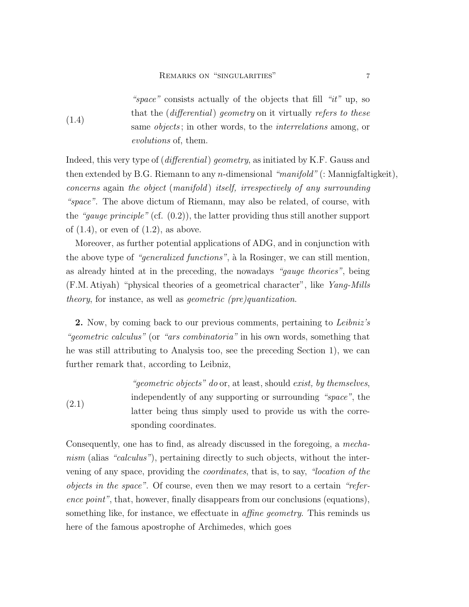(1.4) "space" consists actually of the objects that fill "it" up, so that the (differential) geometry on it virtually refers to these same *objects*; in other words, to the *interrelations* among, or evolutions of, them.

Indeed, this very type of (differential) geometry, as initiated by K.F. Gauss and then extended by B.G. Riemann to any *n*-dimensional "*manifold*" (: Mannigfaltigkeit), concerns again the object (manifold ) itself, irrespectively of any surrounding "space". The above dictum of Riemann, may also be related, of course, with the "gauge principle" (cf.  $(0.2)$ ), the latter providing thus still another support of  $(1.4)$ , or even of  $(1.2)$ , as above.

Moreover, as further potential applications of ADG, and in conjunction with the above type of "*generalized functions*", à la Rosinger, we can still mention, as already hinted at in the preceding, the nowadays "gauge theories", being (F.M. Atiyah) "physical theories of a geometrical character", like Yang-Mills theory, for instance, as well as geometric (pre)quantization.

2. Now, by coming back to our previous comments, pertaining to *Leibniz's* "geometric calculus" (or "ars combinatoria" in his own words, something that he was still attributing to Analysis too, see the preceding Section 1), we can further remark that, according to Leibniz,

(2.1) "geometric objects" do or, at least, should exist, by themselves, independently of any supporting or surrounding "space", the latter being thus simply used to provide us with the corresponding coordinates.

Consequently, one has to find, as already discussed in the foregoing, a mechanism (alias "calculus"), pertaining directly to such objects, without the intervening of any space, providing the coordinates, that is, to say, "location of the objects in the space". Of course, even then we may resort to a certain "reference point", that, however, finally disappears from our conclusions (equations), something like, for instance, we effectuate in *affine geometry*. This reminds us here of the famous apostrophe of Archimedes, which goes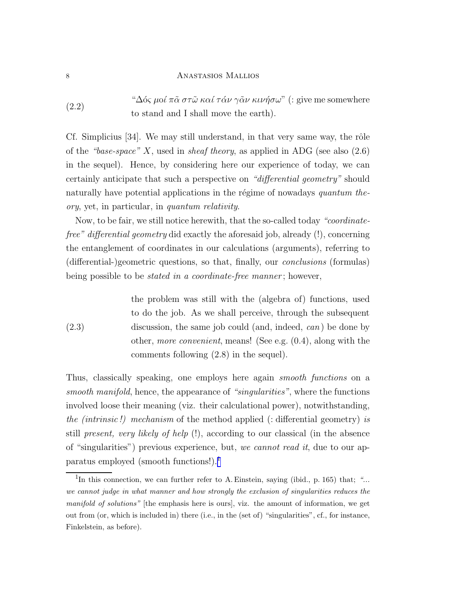(2.2) " $\Delta$ ός μοί π $\tilde{\alpha}$  στ $\tilde{\omega}$  καί τάν γ $\tilde{\alpha}$ ν κινήσω" (: give me somewhere to stand and I shall move the earth).

Cf. Simplicius  $|34|$ . We may still understand, in that very same way, the rôle of the "base-space" X, used in sheaf theory, as applied in ADG (see also  $(2.6)$ ) in the sequel). Hence, by considering here our experience of today, we can certainly anticipate that such a perspective on "differential geometry" should naturally have potential applications in the régime of nowadays quantum theory, yet, in particular, in quantum relativity.

Now, to be fair, we still notice herewith, that the so-called today "coordinatefree" differential geometry did exactly the aforesaid job, already (!), concerning the entanglement of coordinates in our calculations (arguments), referring to (differential-)geometric questions, so that, finally, our conclusions (formulas) being possible to be *stated in a coordinate-free manner*; however,

(2.3) the problem was still with the (algebra of) functions, used to do the job. As we shall perceive, through the subsequent discussion, the same job could (and, indeed, *can*) be done by other, more convenient, means! (See e.g. (0.4), along with the comments following (2.8) in the sequel).

Thus, classically speaking, one employs here again smooth functions on a smooth manifold, hence, the appearance of "singularities", where the functions involved loose their meaning (viz. their calculational power), notwithstanding, the (intrinsic !) mechanism of the method applied (: differential geometry) is still present, very likely of help  $(!)$ , according to our classical (in the absence of "singularities") previous experience, but, we cannot read it, due to our apparatus employed (smooth functions!).<sup>1</sup>

<sup>&</sup>lt;sup>1</sup>In this connection, we can further refer to A. Einstein, saying (ibid., p. 165) that; "... we cannot judge in what manner and how strongly the exclusion of singularities reduces the manifold of solutions" [the emphasis here is ours], viz. the amount of information, we get out from (or, which is included in) there (i.e., in the (set of) "singularities", cf., for instance, Finkelstein, as before).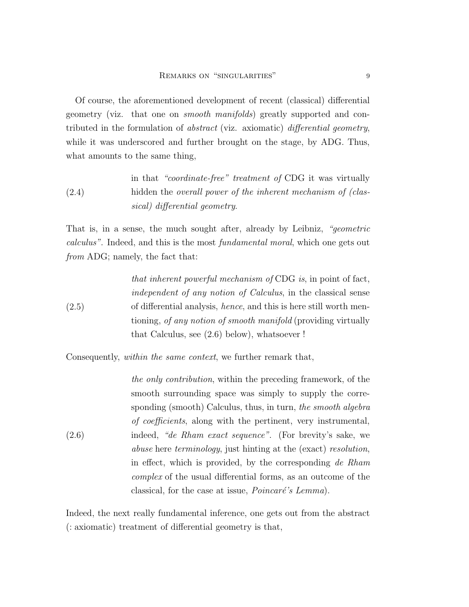Of course, the aforementioned development of recent (classical) differential geometry (viz. that one on smooth manifolds) greatly supported and contributed in the formulation of abstract (viz. axiomatic) differential geometry, while it was underscored and further brought on the stage, by ADG. Thus, what amounts to the same thing,

(2.4) in that "coordinate-free" treatment of CDG it was virtually hidden the *overall power of the inherent mechanism of (clas*sical) differential geometry.

That is, in a sense, the much sought after, already by Leibniz, "geometric calculus". Indeed, and this is the most fundamental moral, which one gets out from ADG; namely, the fact that:

\n that inherent powerful mechanism of CDG is, in point of fact, independent of any notion of Calculus, in the classical sense of differential analysis, hence, and this is here still worth mentioning, of any notion of smooth manifold (providing virtually that Calculus, see 
$$
(2.6)
$$
 below), whatsoever !\n

Consequently, within the same context, we further remark that,

(2.6) the only contribution, within the preceding framework, of the smooth surrounding space was simply to supply the corresponding (smooth) Calculus, thus, in turn, the smooth algebra of coefficients, along with the pertinent, very instrumental, indeed, "de Rham exact sequence". (For brevity's sake, we abuse here terminology, just hinting at the (exact) resolution, in effect, which is provided, by the corresponding de Rham complex of the usual differential forms, as an outcome of the classical, for the case at issue,  $Poincaré's Lemma$ .

Indeed, the next really fundamental inference, one gets out from the abstract (: axiomatic) treatment of differential geometry is that,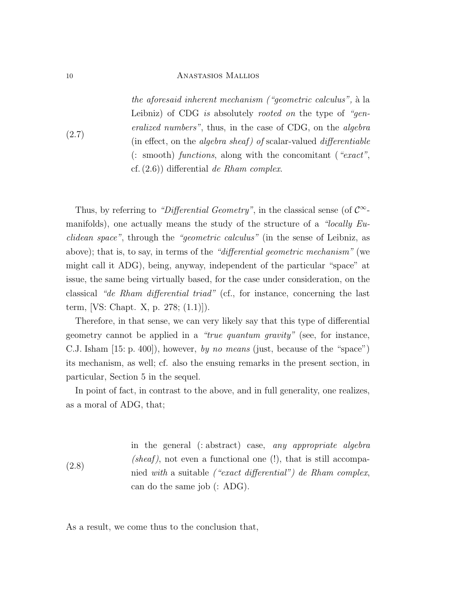the aforesaid inherent mechanism ("geometric calculus", `a la Leibniz) of CDG is absolutely rooted on the type of "generalized numbers", thus, in the case of CDG, on the algebra (in effect, on the *algebra sheaf*) of scalar-valued *differentiable* (: smooth) functions, along with the concomitant ("exact", cf.  $(2.6)$ ) differential de Rham complex.

Thus, by referring to "Differential Geometry", in the classical sense (of  $\mathcal{C}^{\infty}$ manifolds), one actually means the study of the structure of a "locally  $Eu$ clidean space", through the "geometric calculus" (in the sense of Leibniz, as above); that is, to say, in terms of the "differential geometric mechanism" (we might call it ADG), being, anyway, independent of the particular "space" at issue, the same being virtually based, for the case under consideration, on the classical "de Rham differential triad" (cf., for instance, concerning the last term, [VS: Chapt. X, p. 278; (1.1)]).

Therefore, in that sense, we can very likely say that this type of differential geometry cannot be applied in a "true quantum gravity" (see, for instance, C.J. Isham [15: p. 400]), however, by no means (just, because of the "space") its mechanism, as well; cf. also the ensuing remarks in the present section, in particular, Section 5 in the sequel.

In point of fact, in contrast to the above, and in full generality, one realizes, as a moral of ADG, that;

(2.8) in the general (: abstract) case, any appropriate algebra (sheaf), not even a functional one  $(!)$ , that is still accompanied with a suitable ("exact differential") de Rham complex, can do the same job (: ADG).

As a result, we come thus to the conclusion that,

(2.7)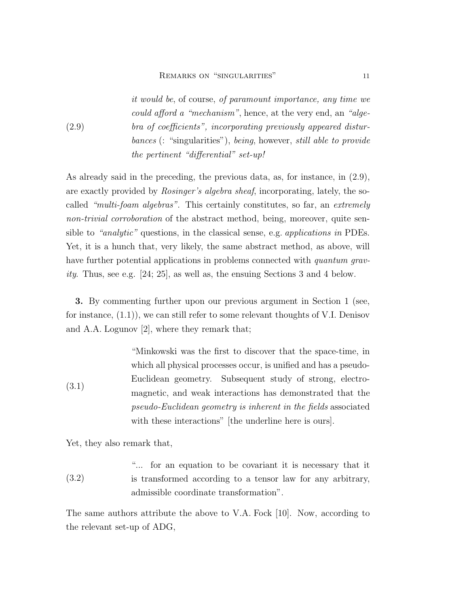it would be, of course, of paramount importance, any time we could afford a "mechanism", hence, at the very end, an "algebra of coefficients", incorporating previously appeared disturbances (: "singularities"), being, however, still able to provide the pertinent "differential" set-up!

As already said in the preceding, the previous data, as, for instance, in (2.9), are exactly provided by Rosinger's algebra sheaf, incorporating, lately, the socalled "multi-foam algebras". This certainly constitutes, so far, an extremely non-trivial corroboration of the abstract method, being, moreover, quite sensible to "analytic" questions, in the classical sense, e.g. applications in PDEs. Yet, it is a hunch that, very likely, the same abstract method, as above, will have further potential applications in problems connected with *quantum grav*ity. Thus, see e.g.  $[24; 25]$ , as well as, the ensuing Sections 3 and 4 below.

3. By commenting further upon our previous argument in Section 1 (see, for instance,  $(1.1)$ , we can still refer to some relevant thoughts of V.I. Denisov and A.A. Logunov [2], where they remark that;

(3.1) "Minkowski was the first to discover that the space-time, in which all physical processes occur, is unified and has a pseudo-Euclidean geometry. Subsequent study of strong, electromagnetic, and weak interactions has demonstrated that the pseudo-Euclidean geometry is inherent in the fields associated with these interactions" [the underline here is ours].

Yet, they also remark that,

(2.9)

(3.2) "... for an equation to be covariant it is necessary that it is transformed according to a tensor law for any arbitrary, admissible coordinate transformation".

The same authors attribute the above to V.A. Fock [10]. Now, according to the relevant set-up of ADG,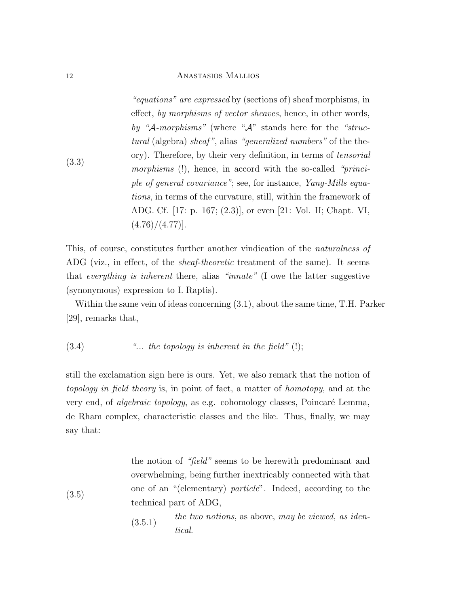(3.3) "equations" are expressed by (sections of) sheaf morphisms, in effect, by morphisms of vector sheaves, hence, in other words, by "A-morphisms" (where "A" stands here for the "structural (algebra) sheaf", alias "generalized numbers" of the theory). Therefore, by their very definition, in terms of tensorial morphisms (!), hence, in accord with the so-called "principle of general covariance"; see, for instance, Yang-Mills equations, in terms of the curvature, still, within the framework of ADG. Cf. [17: p. 167; (2.3)], or even [21: Vol. II; Chapt. VI,  $(4.76)/(4.77)$ ].

This, of course, constitutes further another vindication of the naturalness of ADG (viz., in effect, of the sheaf-theoretic treatment of the same). It seems that everything is inherent there, alias "innate" (I owe the latter suggestive (synonymous) expression to I. Raptis).

Within the same vein of ideas concerning (3.1), about the same time, T.H. Parker [29], remarks that,

$$
(3.4) \t\t\t"... the topology is inherent in the field" (!);
$$

still the exclamation sign here is ours. Yet, we also remark that the notion of topology in field theory is, in point of fact, a matter of homotopy, and at the very end, of *algebraic topology*, as e.g. cohomology classes, Poincaré Lemma, de Rham complex, characteristic classes and the like. Thus, finally, we may say that:

> the notion of "field" seems to be herewith predominant and overwhelming, being further inextricably connected with that one of an "(elementary) particle". Indeed, according to the technical part of ADG,

> $the two notions, as above, may be viewed, as iden-  
> (3.5.1)$ tical.

(3.5)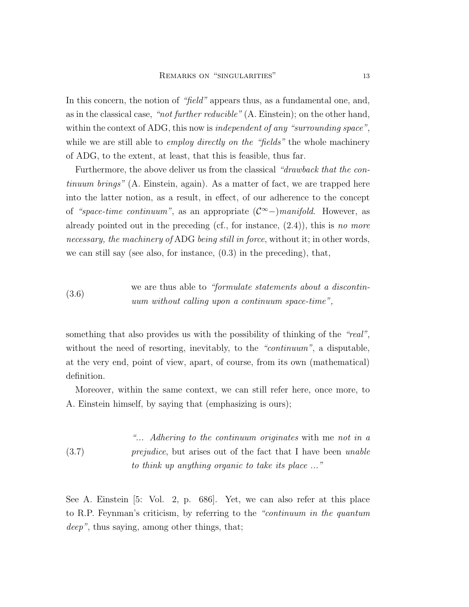In this concern, the notion of "field" appears thus, as a fundamental one, and, as in the classical case, "not further reducible" (A. Einstein); on the other hand, within the context of ADG, this now is *independent of any "surrounding space"*, while we are still able to *employ directly on the "fields"* the whole machinery of ADG, to the extent, at least, that this is feasible, thus far.

Furthermore, the above deliver us from the classical "drawback that the continuum brings" (A. Einstein, again). As a matter of fact, we are trapped here into the latter notion, as a result, in effect, of our adherence to the concept of "space-time continuum", as an appropriate  $(\mathcal{C}^{\infty})$ manifold. However, as already pointed out in the preceding (cf., for instance,  $(2.4)$ ), this is no more necessary, the machinery of ADG being still in force, without it; in other words, we can still say (see also, for instance, (0.3) in the preceding), that,

(3.6) we are thus able to "formulate statements about a discontinuum without calling upon a continuum space-time",

something that also provides us with the possibility of thinking of the "real", without the need of resorting, inevitably, to the "continuum", a disputable, at the very end, point of view, apart, of course, from its own (mathematical) definition.

Moreover, within the same context, we can still refer here, once more, to A. Einstein himself, by saying that (emphasizing is ours);

(3.7) "... Adhering to the continuum originates with me not in a prejudice, but arises out of the fact that I have been unable to think up anything organic to take its place ..."

See A. Einstein [5: Vol. 2, p. 686]. Yet, we can also refer at this place to R.P. Feynman's criticism, by referring to the "continuum in the quantum deep", thus saying, among other things, that;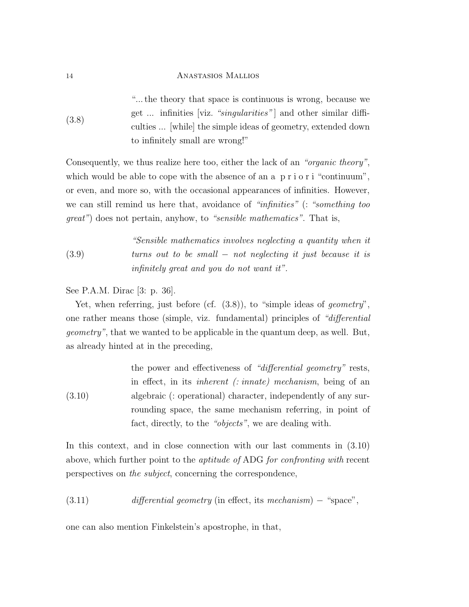(3.8) "... the theory that space is continuous is wrong, because we get ... infinities [viz. "*singularities*"] and other similar difficulties ... [while] the simple ideas of geometry, extended down to infinitely small are wrong!"

Consequently, we thus realize here too, either the lack of an "organic theory", which would be able to cope with the absence of an a p r i o r i "continuum", or even, and more so, with the occasional appearances of infinities. However, we can still remind us here that, avoidance of "infinities" (: "something too great") does not pertain, anyhow, to "sensible mathematics". That is,

(3.9) "Sensible mathematics involves neglecting a quantity when it turns out to be small − not neglecting it just because it is infinitely great and you do not want it".

See P.A.M. Dirac [3: p. 36].

Yet, when referring, just before (cf.  $(3.8)$ ), to "simple ideas of *geometry*", one rather means those (simple, viz. fundamental) principles of "differential geometry", that we wanted to be applicable in the quantum deep, as well. But, as already hinted at in the preceding,

(3.10) the power and effectiveness of "differential geometry" rests, in effect, in its inherent (: innate) mechanism, being of an algebraic (: operational) character, independently of any surrounding space, the same mechanism referring, in point of fact, directly, to the "objects", we are dealing with.

In this context, and in close connection with our last comments in (3.10) above, which further point to the aptitude of ADG for confronting with recent perspectives on the subject, concerning the correspondence,

(3.11) differential geometry (in effect, its mechanism) – "space",

one can also mention Finkelstein's apostrophe, in that,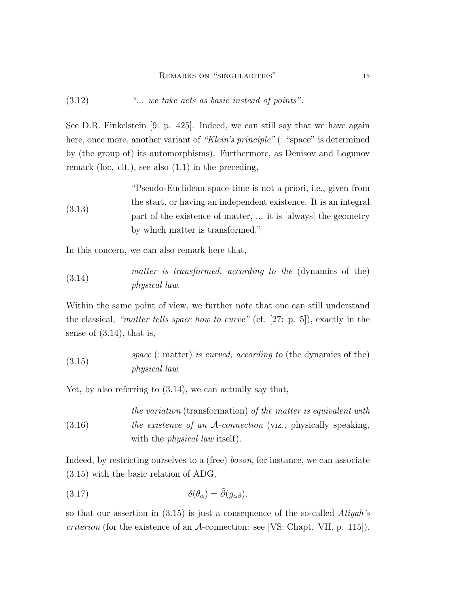(3.12) "... we take acts as basic instead of points".

See D.R. Finkelstein [9: p. 425]. Indeed, we can still say that we have again here, once more, another variant of "Klein's principle" (: "space" is determined by (the group of) its automorphisms). Furthermore, as Denisov and Logunov remark (loc. cit.), see also (1.1) in the preceding,

(3.13) "Pseudo-Euclidean space-time is not a priori, i.e., given from the start, or having an independent existence. It is an integral part of the existence of matter, ... it is [always] the geometry by which matter is transformed."

In this concern, we can also remark here that,

(3.14) matter is transformed, according to the (dynamics of the) physical law.

Within the same point of view, we further note that one can still understand the classical, "matter tells space how to curve" (cf. [27: p. 5]), exactly in the sense of (3.14), that is,

 $space$  (: matter) is curved, according to (the dynamics of the) physical law.

Yet, by also referring to (3.14), we can actually say that,

(3.16) the variation (transformation) of the matter is equivalent with the existence of an A-connection (viz., physically speaking, with the *physical law* itself).

Indeed, by restricting ourselves to a (free) *boson*, for instance, we can associate (3.15) with the basic relation of ADG,

(3.17) 
$$
\delta(\theta_{\alpha}) = \tilde{\partial}(g_{\alpha\beta}),
$$

so that our assertion in  $(3.15)$  is just a consequence of the so-called Atiyah's *criterion* (for the existence of an  $\mathcal{A}$ -connection: see [VS: Chapt. VII, p. 115]).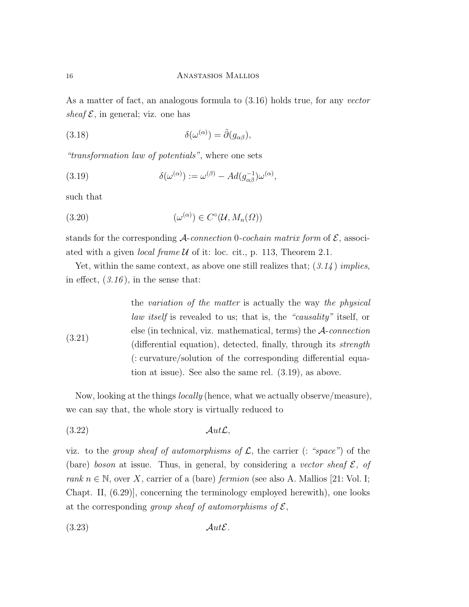As a matter of fact, an analogous formula to (3.16) holds true, for any vector sheaf  $\mathcal{E}$ , in general; viz. one has

(3.18) 
$$
\delta(\omega^{(\alpha)}) = \tilde{\partial}(g_{\alpha\beta}),
$$

"transformation law of potentials", where one sets

(3.19) 
$$
\delta(\omega^{(\alpha)}) := \omega^{(\beta)} - Ad(g_{\alpha\beta}^{-1})\omega^{(\alpha)},
$$

such that

(3.20) 
$$
(\omega^{(\alpha)}) \in C^{\circ}(\mathcal{U}, M_n(\Omega))
$$

stands for the corresponding  $\mathcal{A}$ -connection 0-cochain matrix form of  $\mathcal{E}$ , associated with a given *local frame U* of it: loc. cit., p. 113, Theorem 2.1.

Yet, within the same context, as above one still realizes that;  $(3.14)$  implies, in effect,  $(3.16)$ , in the sense that:

(3.21) the variation of the matter is actually the way the physical law itself is revealed to us; that is, the "causality" itself, or else (in technical, viz. mathematical, terms) the  $A$ -connection (differential equation), detected, finally, through its strength (: curvature/solution of the corresponding differential equation at issue). See also the same rel. (3.19), as above.

Now, looking at the things locally (hence, what we actually observe/measure), we can say that, the whole story is virtually reduced to

$$
(3.22)\quad \mathcal{A}ut\mathcal{L},
$$

viz. to the group sheaf of automorphisms of  $\mathcal{L}$ , the carrier (: "space") of the (bare) boson at issue. Thus, in general, by considering a vector sheaf  $\mathcal{E}$ , of rank  $n \in \mathbb{N}$ , over X, carrier of a (bare) fermion (see also A. Mallios [21: Vol. I; Chapt. II, (6.29)], concerning the terminology employed herewith), one looks at the corresponding group sheaf of automorphisms of  $\mathcal{E}$ ,

$$
(3.23)\quad \mathcal{A}ut\mathcal{E}.
$$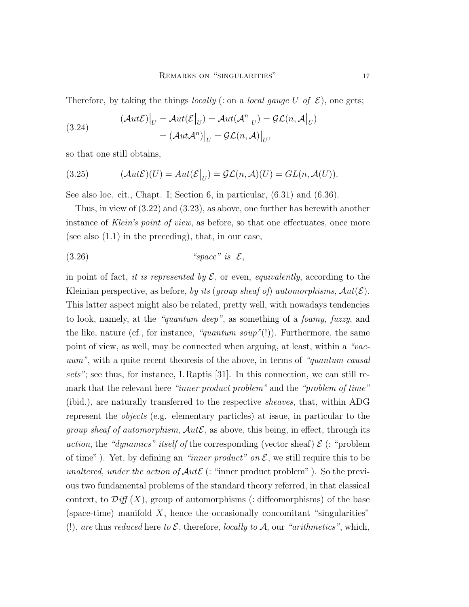Therefore, by taking the things *locally* (: on a *local gauge U of*  $\mathcal{E}$ *)*, one gets;

(3.24) 
$$
(\mathcal{A}ut\mathcal{E})\big|_{U} = \mathcal{A}ut(\mathcal{E}\big|_{U}) = \mathcal{A}ut(\mathcal{A}^{n}\big|_{U}) = \mathcal{GL}(n, \mathcal{A}\big|_{U}
$$

$$
= (\mathcal{A}ut\mathcal{A}^{n})\big|_{U} = \mathcal{GL}(n, \mathcal{A})\big|_{U},
$$

so that one still obtains,

(3.25) 
$$
(\mathcal{A}ut\mathcal{E})(U) = Aut(\mathcal{E}|_U) = \mathcal{GL}(n,\mathcal{A})(U) = GL(n,\mathcal{A}(U)).
$$

See also loc. cit., Chapt. I; Section 6, in particular, (6.31) and (6.36).

Thus, in view of (3.22) and (3.23), as above, one further has herewith another instance of Klein's point of view, as before, so that one effectuates, once more (see also  $(1.1)$  in the preceding), that, in our case,

(3.26) "space" is E,

in point of fact, it is represented by  $\mathcal{E}$ , or even, equivalently, according to the Kleinian perspective, as before, by its (group sheaf of) automorphisms,  $Aut(\mathcal{E})$ . This latter aspect might also be related, pretty well, with nowadays tendencies to look, namely, at the "quantum deep", as something of a foamy, fuzzy, and the like, nature (cf., for instance, "quantum soup"(!)). Furthermore, the same point of view, as well, may be connected when arguing, at least, within a "vacuum", with a quite recent theoresis of the above, in terms of "quantum causal sets"; see thus, for instance, I. Raptis [31]. In this connection, we can still remark that the relevant here "inner product problem" and the "problem of time" (ibid.), are naturally transferred to the respective sheaves, that, within ADG represent the objects (e.g. elementary particles) at issue, in particular to the *group sheaf of automorphism,*  $Aut\mathcal{E}$ *, as above, this being, in effect, through its* action, the "dynamics" itself of the corresponding (vector sheaf)  $\mathcal{E}$  (: "problem of time"). Yet, by defining an "inner product" on  $\mathcal{E}$ , we still require this to be unaltered, under the action of  $Aut \mathcal{E}$  (: "inner product problem"). So the previous two fundamental problems of the standard theory referred, in that classical context, to  $\mathcal{Diff}(X)$ , group of automorphisms (: diffeomorphisms) of the base (space-time) manifold  $X$ , hence the occasionally concomitant "singularities" (!), are thus reduced here to  $\mathcal{E}$ , therefore, locally to  $\mathcal{A}$ , our "arithmetics", which,

)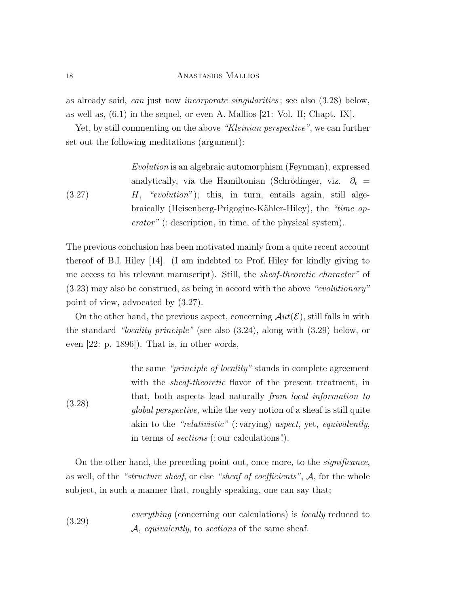as already said, can just now incorporate singularities ; see also (3.28) below, as well as, (6.1) in the sequel, or even A. Mallios [21: Vol. II; Chapt. IX].

Yet, by still commenting on the above "Kleinian perspective", we can further set out the following meditations (argument):

*Evolution* is an algebraic automorphism (Feynman), expressed  
analytically, via the Hamiltonian (Schrödinger, viz. 
$$
\partial_t
$$
 =  
*H*, "evolution"); this, in turn, entails again, still alge-  
braically (Heisenberg-Prigogine-Kähler-Hiley), the "time op-  
*erator*" (: description, in time, of the physical system).

The previous conclusion has been motivated mainly from a quite recent account thereof of B.I. Hiley [14]. (I am indebted to Prof. Hiley for kindly giving to me access to his relevant manuscript). Still, the sheaf-theoretic character" of (3.23) may also be construed, as being in accord with the above "evolutionary" point of view, advocated by (3.27).

On the other hand, the previous aspect, concerning  $Aut(\mathcal{E})$ , still falls in with the standard "locality principle" (see also (3.24), along with (3.29) below, or even [22: p. 1896]). That is, in other words,

(3.28) the same "principle of locality" stands in complete agreement with the sheaf-theoretic flavor of the present treatment, in that, both aspects lead naturally from local information to global perspective, while the very notion of a sheaf is still quite akin to the "relativistic" (: varying) aspect, yet, equivalently, in terms of sections (: our calculations !).

On the other hand, the preceding point out, once more, to the *significance*, as well, of the "structure sheaf, or else "sheaf of coefficients", A, for the whole subject, in such a manner that, roughly speaking, one can say that;

(3.29) *everything* (concerning our calculations) is *locally* reduced to 
$$
A
$$
, *equivalently*, to *sections* of the same sheaf.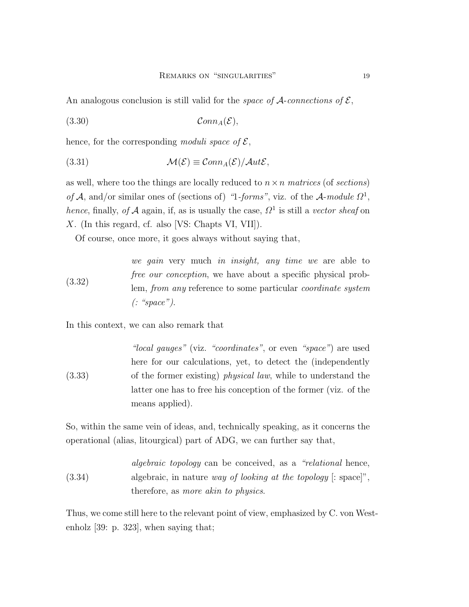An analogous conclusion is still valid for the *space of*  $A$ -connections of  $\mathcal{E}$ ,

(3.30) ConnA(E),

hence, for the corresponding moduli space of  $\mathcal{E}$ ,

(3.31) 
$$
\mathcal{M}(\mathcal{E}) \equiv \mathcal{C}onn_A(\mathcal{E})/\mathcal{A}ut\mathcal{E},
$$

as well, where too the things are locally reduced to  $n \times n$  matrices (of sections) of A, and/or similar ones of (sections of) "1-forms", viz. of the A-module  $\Omega^1$ , hence, finally, of A again, if, as is usually the case,  $\Omega^1$  is still a vector sheaf on X. (In this regard, cf. also [VS: Chapts VI, VII]).

Of course, once more, it goes always without saying that,

(3.32) we gain very much in insight, any time we are able to free our conception, we have about a specific physical problem, from any reference to some particular coordinate system (: "space").

In this context, we can also remark that

(3.33) "local gauges" (viz. "coordinates", or even "space") are used here for our calculations, yet, to detect the (independently of the former existing) physical law, while to understand the latter one has to free his conception of the former (viz. of the means applied).

So, within the same vein of ideas, and, technically speaking, as it concerns the operational (alias, litourgical) part of ADG, we can further say that,

\n
$$
algebraic
$$
 topology can be conceived, as a "relational hence, algebraic, in nature way of looking at the topology [: space]", therefore, as more akin to physics.\n

Thus, we come still here to the relevant point of view, emphasized by C. von Westenholz [39: p. 323], when saying that;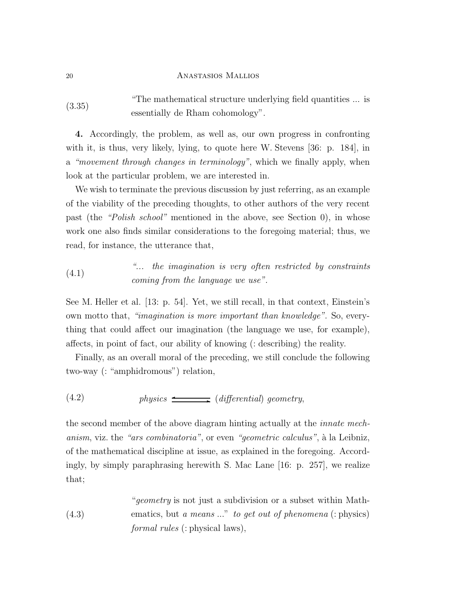(3.35) "The mathematical structure underlying field quantities ... is essentially de Rham cohomology".

4. Accordingly, the problem, as well as, our own progress in confronting with it, is thus, very likely, lying, to quote here W. Stevens [36: p. 184], in a "movement through changes in terminology", which we finally apply, when look at the particular problem, we are interested in.

We wish to terminate the previous discussion by just referring, as an example of the viability of the preceding thoughts, to other authors of the very recent past (the "Polish school" mentioned in the above, see Section 0), in whose work one also finds similar considerations to the foregoing material; thus, we read, for instance, the utterance that,

(4.1) 
$$
{}^{\circ}
$$
 *...* the imagination is very often restricted by constraints coming from the language we use".

See M. Heller et al. [13: p. 54]. Yet, we still recall, in that context, Einstein's own motto that, "imagination is more important than knowledge". So, everything that could affect our imagination (the language we use, for example), affects, in point of fact, our ability of knowing (: describing) the reality.

Finally, as an overall moral of the preceding, we still conclude the following two-way (: "amphidromous") relation,

(4.2) physics ✛ ✲ (differential) geometry,

the second member of the above diagram hinting actually at the innate mechanism, viz. the "ars combinatoria", or even "geometric calculus", à la Leibniz, of the mathematical discipline at issue, as explained in the foregoing. Accordingly, by simply paraphrasing herewith S. Mac Lane [16: p. 257], we realize that;

\n
$$
``geometry
$$
 is not just a subdivision or a subset within Math-  
\n (4.3)   
\n ematics, but a means ..." to get out of phenomena (: physics)   
\n formal rules (: physical laws),\n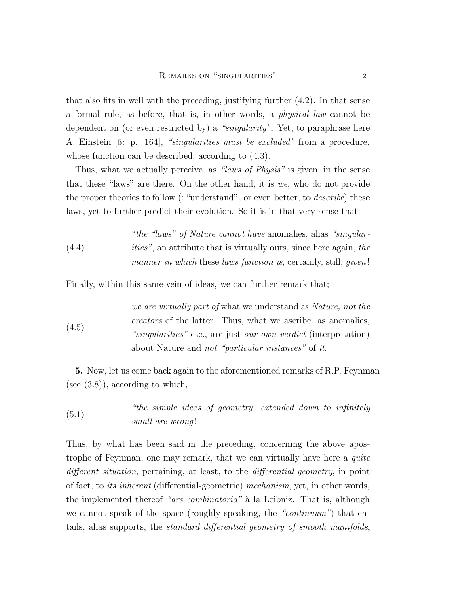that also fits in well with the preceding, justifying further (4.2). In that sense a formal rule, as before, that is, in other words, a physical law cannot be dependent on (or even restricted by) a "singularity". Yet, to paraphrase here A. Einstein [6: p. 164], "singularities must be excluded" from a procedure, whose function can be described, according to (4.3).

Thus, what we actually perceive, as "*laws of Physis*" is given, in the sense that these "laws" are there. On the other hand, it is we, who do not provide the proper theories to follow (: "understand", or even better, to *describe*) these laws, yet to further predict their evolution. So it is in that very sense that;

(4.4) "the "laws" of Nature cannot have anomalies, alias "singularities", an attribute that is virtually ours, since here again, the manner in which these laws function is, certainly, still, *given*!

Finally, within this same vein of ideas, we can further remark that;

(4.5) we are virtually part of what we understand as Nature, not the creators of the latter. Thus, what we ascribe, as anomalies, "singularities" etc., are just our own verdict (interpretation) about Nature and not "particular instances" of it.

5. Now, let us come back again to the aforementioned remarks of R.P. Feynman (see  $(3.8)$ ), according to which,

(5.1) "the simple ideas of geometry, extended down to infinitely small are wrong !

Thus, by what has been said in the preceding, concerning the above apostrophe of Feynman, one may remark, that we can virtually have here a quite different situation, pertaining, at least, to the differential geometry, in point of fact, to its inherent (differential-geometric) mechanism, yet, in other words, the implemented thereof "ars combinatoria" à la Leibniz. That is, although we cannot speak of the space (roughly speaking, the "continuum") that entails, alias supports, the standard differential geometry of smooth manifolds,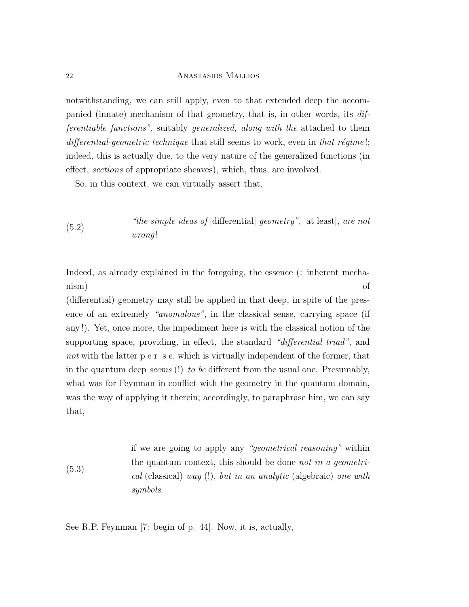notwithstanding, we can still apply, even to that extended deep the accompanied (innate) mechanism of that geometry, that is, in other words, its differentiable functions", suitably generalized, along with the attached to them differential-geometric technique that still seems to work, even in that régime!; indeed, this is actually due, to the very nature of the generalized functions (in effect, sections of appropriate sheaves), which, thus, are involved.

So, in this context, we can virtually assert that,

# $(*the simple ideas of [differential] geometry", [at least], are not$ wrong !

Indeed, as already explained in the foregoing, the essence (: inherent mechanism) of

(differential) geometry may still be applied in that deep, in spite of the presence of an extremely "anomalous", in the classical sense, carrying space (if any !). Yet, once more, the impediment here is with the classical notion of the supporting space, providing, in effect, the standard "differential triad", and not with the latter p e r s e, which is virtually independent of the former, that in the quantum deep *seems* (!) to be different from the usual one. Presumably, what was for Feynman in conflict with the geometry in the quantum domain, was the way of applying it therein; accordingly, to paraphrase him, we can say that,

(5.3) if we are going to apply any "geometrical reasoning" within the quantum context, this should be done not in a geometrical (classical) way (!), but in an analytic (algebraic) one with symbols.

See R.P. Feynman [7: begin of p. 44]. Now, it is, actually,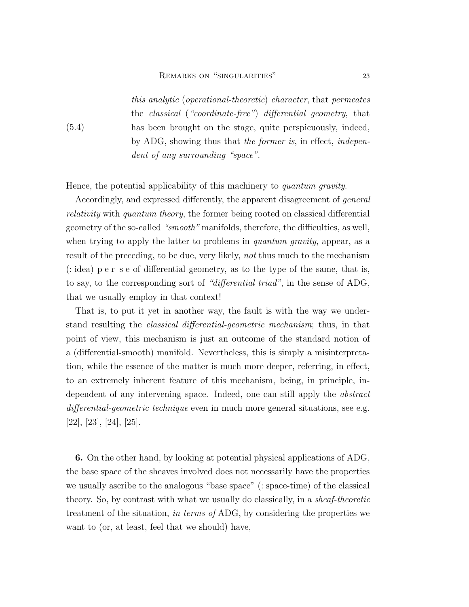this analytic (operational-theoretic) character, that permeates the classical ("coordinate-free") differential geometry, that has been brought on the stage, quite perspicuously, indeed, by ADG, showing thus that the former is, in effect, independent of any surrounding "space".

Hence, the potential applicability of this machinery to quantum gravity.

(5.4)

Accordingly, and expressed differently, the apparent disagreement of general relativity with quantum theory, the former being rooted on classical differential geometry of the so-called "smooth" manifolds, therefore, the difficulties, as well, when trying to apply the latter to problems in *quantum gravity*, appear, as a result of the preceding, to be due, very likely, not thus much to the mechanism (: idea) p e r s e of differential geometry, as to the type of the same, that is, to say, to the corresponding sort of "differential triad", in the sense of ADG, that we usually employ in that context!

That is, to put it yet in another way, the fault is with the way we understand resulting the classical differential-geometric mechanism; thus, in that point of view, this mechanism is just an outcome of the standard notion of a (differential-smooth) manifold. Nevertheless, this is simply a misinterpretation, while the essence of the matter is much more deeper, referring, in effect, to an extremely inherent feature of this mechanism, being, in principle, independent of any intervening space. Indeed, one can still apply the abstract differential-geometric technique even in much more general situations, see e.g. [22], [23], [24], [25].

6. On the other hand, by looking at potential physical applications of ADG, the base space of the sheaves involved does not necessarily have the properties we usually ascribe to the analogous "base space" (: space-time) of the classical theory. So, by contrast with what we usually do classically, in a sheaf-theoretic treatment of the situation, in terms of ADG, by considering the properties we want to (or, at least, feel that we should) have,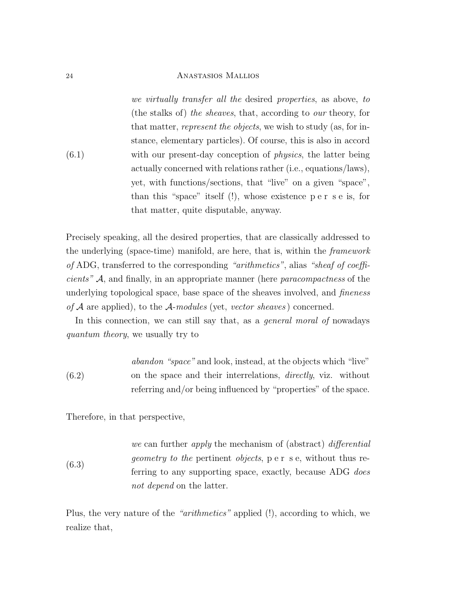(6.1) we virtually transfer all the desired properties, as above, to (the stalks of) the sheaves, that, according to our theory, for that matter, represent the objects, we wish to study (as, for instance, elementary particles). Of course, this is also in accord with our present-day conception of *physics*, the latter being actually concerned with relations rather (i.e., equations/laws), yet, with functions/sections, that "live" on a given "space", than this "space" itself (!), whose existence p e r s e is, for that matter, quite disputable, anyway.

Precisely speaking, all the desired properties, that are classically addressed to the underlying (space-time) manifold, are here, that is, within the framework of ADG, transferred to the corresponding "arithmetics", alias "sheaf of coefficients" A, and finally, in an appropriate manner (here paracompactness of the underlying topological space, base space of the sheaves involved, and *fineness* of  $A$  are applied), to the  $A$ -modules (yet, vector sheaves) concerned.

In this connection, we can still say that, as a general moral of nowadays quantum theory, we usually try to

\n
$$
abandon
$$
 "space" and look, instead, at the objects which "live"  
\n (6.2) on the space and their interrelations, *directly*, viz. without referring and/or being influenced by "properties" of the space.\n

Therefore, in that perspective,

(6.3) we can further *apply* the mechanism of (abstract) *differential* geometry to the pertinent objects, p e r s e, without thus referring to any supporting space, exactly, because ADG *does* not depend on the latter.

Plus, the very nature of the "arithmetics" applied (!), according to which, we realize that,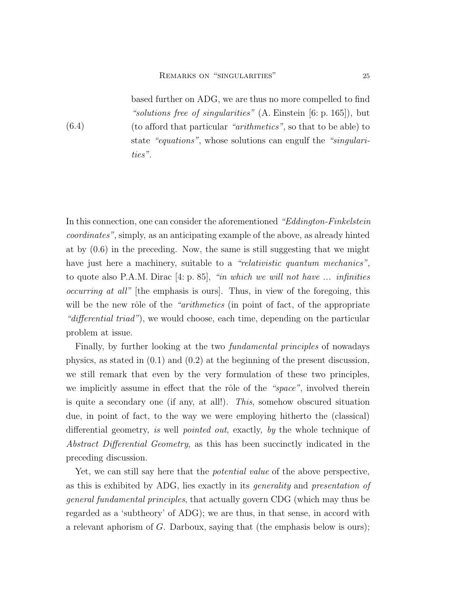(6.4)

based further on ADG, we are thus no more compelled to find "solutions free of singularities" (A. Einstein [6: p. 165]), but (to afford that particular "arithmetics", so that to be able) to state "equations", whose solutions can engulf the "singularities".

In this connection, one can consider the aforementioned "Eddington-Finkelstein coordinates", simply, as an anticipating example of the above, as already hinted at by (0.6) in the preceding. Now, the same is still suggesting that we might have just here a machinery, suitable to a "relativistic quantum mechanics", to quote also P.A.M. Dirac [4: p. 85], "in which we will not have ... infinities occurring at all" [the emphasis is ours]. Thus, in view of the foregoing, this will be the new rôle of the "arithmetics (in point of fact, of the appropriate "differential triad"), we would choose, each time, depending on the particular problem at issue.

Finally, by further looking at the two fundamental principles of nowadays physics, as stated in (0.1) and (0.2) at the beginning of the present discussion, we still remark that even by the very formulation of these two principles, we implicitly assume in effect that the rôle of the "space", involved therein is quite a secondary one (if any, at all!). This, somehow obscured situation due, in point of fact, to the way we were employing hitherto the (classical) differential geometry, is well pointed out, exactly, by the whole technique of Abstract Differential Geometry, as this has been succinctly indicated in the preceding discussion.

Yet, we can still say here that the potential value of the above perspective, as this is exhibited by ADG, lies exactly in its generality and presentation of general fundamental principles, that actually govern CDG (which may thus be regarded as a 'subtheory' of ADG); we are thus, in that sense, in accord with a relevant aphorism of G. Darboux, saying that (the emphasis below is ours);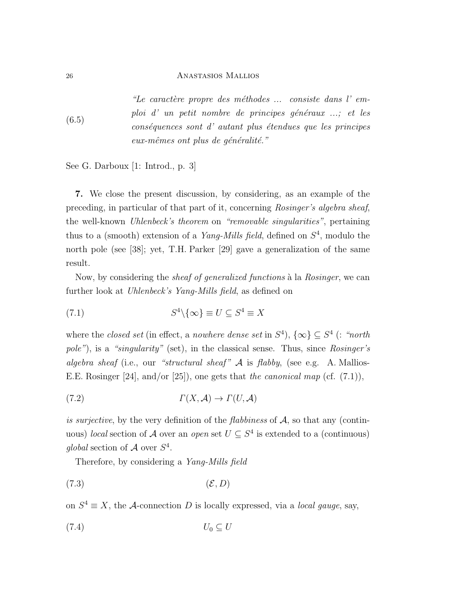(6.5) "Le caractère propre des méthodes  $\ldots$  consiste dans l' emploi d' un petit nombre de principes généraux ...; et les  $\cos\acute{e}quences$  sont d' autant plus étendues que les principes  $eux-m\hat{e}mes\;ont\;plus\;de\;geq$ énéralité."

See G. Darboux [1: Introd., p. 3]

7. We close the present discussion, by considering, as an example of the preceding, in particular of that part of it, concerning Rosinger's algebra sheaf, the well-known Uhlenbeck's theorem on "removable singularities", pertaining thus to a (smooth) extension of a *Yang-Mills field*, defined on  $S<sup>4</sup>$ , modulo the north pole (see [38]; yet, T.H. Parker [29] gave a generalization of the same result.

Now, by considering the *sheaf of generalized functions* à la Rosinger, we can further look at Uhlenbeck's Yang-Mills field, as defined on

(7.1) 
$$
S^4 \setminus \{ \infty \} \equiv U \subseteq S^4 \equiv X
$$

where the closed set (in effect, a nowhere dense set in  $S<sup>4</sup>$ ),  $\{\infty\} \subseteq S<sup>4</sup>$  (: "north pole"), is a "singularity" (set), in the classical sense. Thus, since Rosinger's algebra sheaf (i.e., our "structural sheaf"  $A$  is flabby, (see e.g. A. Mallios-E.E. Rosinger [24], and/or [25]), one gets that the canonical map (cf.  $(7.1)$ ),

(7.2) Γ(X, A) → Γ(U, A)

is surjective, by the very definition of the flabbiness of  $A$ , so that any (continuous) local section of A over an open set  $U \subseteq S^4$  is extended to a (continuous) global section of  $A$  over  $S^4$ .

Therefore, by considering a Yang-Mills field

(7.3) (E, D)

on  $S^4 \equiv X$ , the A-connection D is locally expressed, via a *local gauge*, say,

$$
(7.4) \t\t U_0 \subseteq U
$$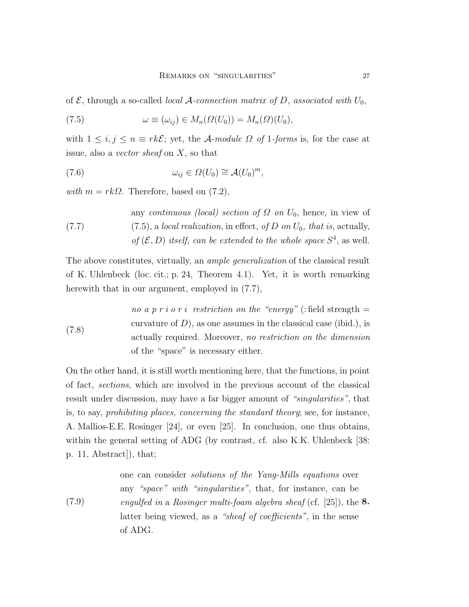of  $\mathcal{E}$ , through a so-called *local*  $\mathcal{A}$ -connection matrix of D, associated with  $U_0$ ,

(7.5) 
$$
\omega \equiv (\omega_{ij}) \in M_n(\Omega(U_0)) = M_n(\Omega)(U_0),
$$

with  $1 \leq i, j \leq n \equiv rk\mathcal{E}$ ; yet, the A-module  $\Omega$  of 1-forms is, for the case at issue, also a *vector sheaf* on  $X$ , so that

(7.6) 
$$
\omega_{ij} \in \Omega(U_0) \cong \mathcal{A}(U_0)^m,
$$

with  $m = rk\Omega$ . Therefore, based on (7.2),

(7.7) any continuous (local) section of  $\Omega$  on  $U_0$ , hence, in view of  $(7.5)$ , a local realization, in effect, of D on  $U_0$ , that is, actually, of  $(\mathcal{E}, D)$  itself, can be extended to the whole space  $S<sup>4</sup>$ , as well.

The above constitutes, virtually, an ample generalization of the classical result of K. Uhlenbeck (loc. cit.; p. 24, Theorem 4.1). Yet, it is worth remarking herewith that in our argument, employed in  $(7.7)$ ,

(7.8) no a p r i o r i restriction on the "energy" (: field strength  $=$ curvature of  $D$ ), as one assumes in the classical case (ibid.), is actually required. Moreover, no restriction on the dimension of the "space" is necessary either.

On the other hand, it is still worth mentioning here, that the functions, in point of fact, sections, which are involved in the previous account of the classical result under discussion, may have a far bigger amount of "singularities", that is, to say, prohibiting places, concerning the standard theory; see, for instance, A. Mallios-E.E. Rosinger [24], or even [25]. In conclusion, one thus obtains, within the general setting of ADG (by contrast, cf. also K.K. Uhlenbeck [38: p. 11, Abstract]), that;

(7.9) one can consider solutions of the Yang-Mills equations over any "space" with "singularities", that, for instance, can be engulfed in a Rosinger multi-foam algebra sheaf (cf.  $[25]$ ), the 8. latter being viewed, as a "*sheaf of coefficients*", in the sense of ADG.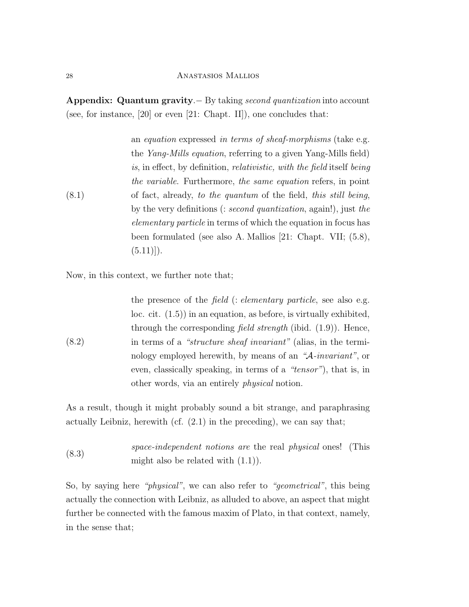Appendix: Quantum gravity.− By taking second quantization into account (see, for instance, [20] or even [21: Chapt. II]), one concludes that:

(8.1) an equation expressed in terms of sheaf-morphisms (take e.g. the Yang-Mills equation, referring to a given Yang-Mills field) is, in effect, by definition, relativistic, with the field itself being the variable. Furthermore, the same equation refers, in point of fact, already, to the quantum of the field, this still being, by the very definitions (: second quantization, again!), just the elementary particle in terms of which the equation in focus has been formulated (see also A. Mallios [21: Chapt. VII; (5.8),  $(5.11)$ .

Now, in this context, we further note that;

(8.2) the presence of the *field* (: *elementary particle*, see also e.g. loc. cit. (1.5)) in an equation, as before, is virtually exhibited, through the corresponding *field strength* (ibid.  $(1.9)$ ). Hence, in terms of a "structure sheaf invariant" (alias, in the terminology employed herewith, by means of an "A-invariant", or even, classically speaking, in terms of a "tensor"), that is, in other words, via an entirely physical notion.

As a result, though it might probably sound a bit strange, and paraphrasing actually Leibniz, herewith (cf.  $(2.1)$ ) in the preceding), we can say that;

(8.3) space-independent notions are the real physical ones! (This might also be related with (1.1)).

So, by saying here "physical", we can also refer to "geometrical", this being actually the connection with Leibniz, as alluded to above, an aspect that might further be connected with the famous maxim of Plato, in that context, namely, in the sense that;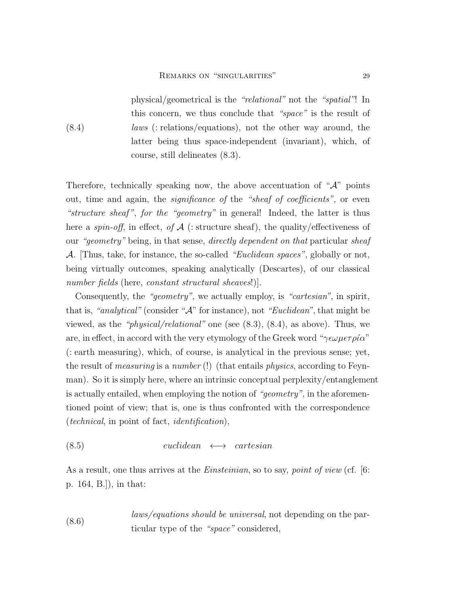(8.4)

physical/geometrical is the "relational" not the "spatial"! In this concern, we thus conclude that "space" is the result of laws (: relations/equations), not the other way around, the latter being thus space-independent (invariant), which, of course, still delineates (8.3).

Therefore, technically speaking now, the above accentuation of " $A$ " points out, time and again, the *significance* of the "sheaf of coefficients", or even "structure sheaf", for the "geometry" in general! Indeed, the latter is thus here a *spin-off*, in effect, of  $A$  (: structure sheaf), the quality/effectiveness of our "geometry" being, in that sense, directly dependent on that particular sheaf A. [Thus, take, for instance, the so-called "Euclidean spaces", globally or not, being virtually outcomes, speaking analytically (Descartes), of our classical number fields (here, constant structural sheaves!).

Consequently, the "geometry", we actually employ, is "cartesian", in spirit, that is, "analytical" (consider " $A$ " for instance), not "Euclidean", that might be viewed, as the "physical/relational" one (see (8.3), (8.4), as above). Thus, we are, in effect, in accord with the very etymology of the Greek word "γεωμετρία" (: earth measuring), which, of course, is analytical in the previous sense; yet, the result of measuring is a number (!) (that entails physics, according to Feynman). So it is simply here, where an intrinsic conceptual perplexity/entanglement is actually entailed, when employing the notion of "geometry", in the aforementioned point of view; that is, one is thus confronted with the correspondence (technical, in point of fact, identification),

$$
(8.5) \teuclidean \leftrightarrow cartesian
$$

As a result, one thus arrives at the *Einsteinian*, so to say, *point of view* (cf.  $\vert 6$ : p. 164, B.]), in that:

(8.6) laws/equations should be universal, not depending on the particular type of the "space" considered,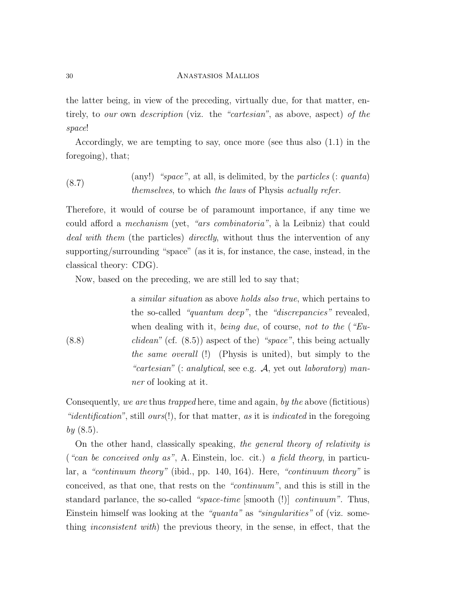the latter being, in view of the preceding, virtually due, for that matter, entirely, to our own description (viz. the "cartesian", as above, aspect) of the space!

Accordingly, we are tempting to say, once more (see thus also (1.1) in the foregoing), that;

(8.7) 
$$
(any!)
$$
 "space", at all, is delimited, by the particles (: quanta) *themselves*, to which the laws of Physics actually refer.

Therefore, it would of course be of paramount importance, if any time we could afford a *mechanism* (yet, "ars combinatoria", à la Leibniz) that could deal with them (the particles) directly, without thus the intervention of any supporting/surrounding "space" (as it is, for instance, the case, instead, in the classical theory: CDG).

Now, based on the preceding, we are still led to say that;

(8.8) a similar situation as above holds also true, which pertains to the so-called "quantum deep", the "discrepancies" revealed, when dealing with it, being due, of course, not to the ("Eu*clidean*" (cf.  $(8.5)$ ) aspect of the) "space", this being actually the same overall (!) (Physis is united), but simply to the "cartesian" (: analytical, see e.g.  $A$ , yet out laboratory) manner of looking at it.

Consequently, we are thus trapped here, time and again, by the above (fictitious) "*identification*", still *ours*(!), for that matter, as it is *indicated* in the foregoing  $by (8.5).$ 

On the other hand, classically speaking, the general theory of relativity is ("can be conceived only as", A. Einstein, loc. cit.) a field theory, in particular, a "continuum theory" (ibid., pp. 140, 164). Here, "continuum theory" is conceived, as that one, that rests on the "continuum", and this is still in the standard parlance, the so-called "space-time [smooth (!)] continuum". Thus, Einstein himself was looking at the "quanta" as "singularities" of (viz. something inconsistent with) the previous theory, in the sense, in effect, that the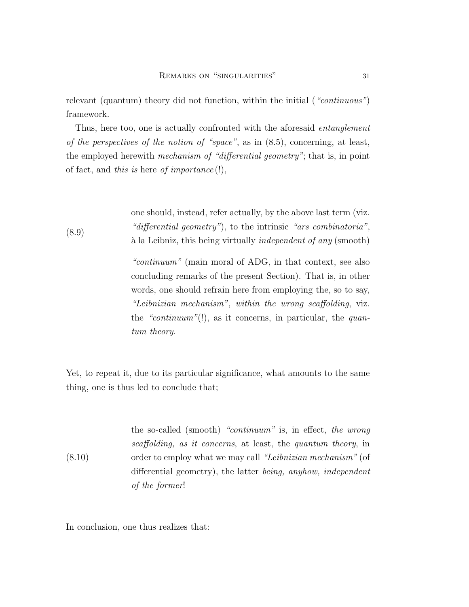relevant (quantum) theory did not function, within the initial ("*continuous*") framework.

Thus, here too, one is actually confronted with the aforesaid *entanglement* of the perspectives of the notion of "space", as in  $(8.5)$ , concerning, at least, the employed herewith mechanism of "differential geometry"; that is, in point of fact, and this is here of importance  $(!)$ ,

> one should, instead, refer actually, by the above last term (viz. "differential geometry"), to the intrinsic "ars combinatoria", à la Leibniz, this being virtually *independent of any* (smooth)

> "continuum" (main moral of ADG, in that context, see also concluding remarks of the present Section). That is, in other words, one should refrain here from employing the, so to say, "Leibnizian mechanism", within the wrong scaffolding, viz. the "continuum"(!), as it concerns, in particular, the quantum theory.

Yet, to repeat it, due to its particular significance, what amounts to the same thing, one is thus led to conclude that;

(8.10) the so-called (smooth) "continuum" is, in effect, the wrong scaffolding, as it concerns, at least, the quantum theory, in order to employ what we may call "Leibnizian mechanism" (of differential geometry), the latter being, anyhow, independent of the former!

In conclusion, one thus realizes that:

(8.9)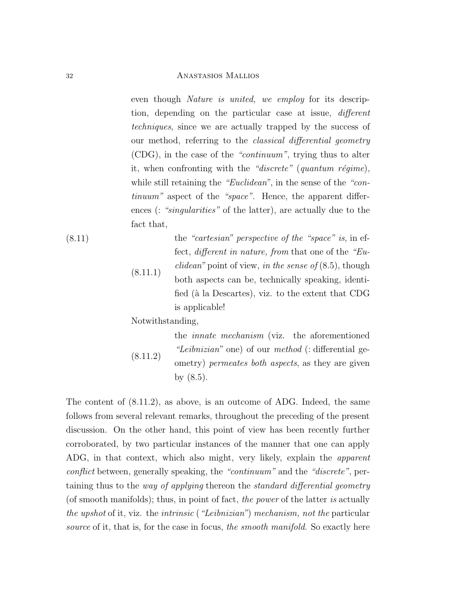even though *Nature is united*, we employ for its description, depending on the particular case at issue, different techniques, since we are actually trapped by the success of our method, referring to the *classical differential geometry* (CDG), in the case of the "continuum", trying thus to alter it, when confronting with the "discrete" (quantum régime), while still retaining the "Euclidean", in the sense of the "continuum" aspect of the "space". Hence, the apparent differences (: "singularities" of the latter), are actually due to the fact that,

(8.11)

 $(8.11.1)$ the "cartesian" perspective of the "space" is, in effect, different in nature, from that one of the "Eu*clidean*" point of view, in the sense of  $(8.5)$ , though both aspects can be, technically speaking, identified (à la Descartes), viz. to the extent that CDG is applicable!

Notwithstanding,

(8.11.2) the innate mechanism (viz. the aforementioned "Leibnizian" one) of our method (: differential geometry) permeates both aspects, as they are given by (8.5).

The content of (8.11.2), as above, is an outcome of ADG. Indeed, the same follows from several relevant remarks, throughout the preceding of the present discussion. On the other hand, this point of view has been recently further corroborated, by two particular instances of the manner that one can apply ADG, in that context, which also might, very likely, explain the apparent conflict between, generally speaking, the "continuum" and the "discrete", pertaining thus to the way of applying thereon the standard differential geometry (of smooth manifolds); thus, in point of fact, the power of the latter is actually the upshot of it, viz. the intrinsic ("Leibnizian") mechanism, not the particular source of it, that is, for the case in focus, the smooth manifold. So exactly here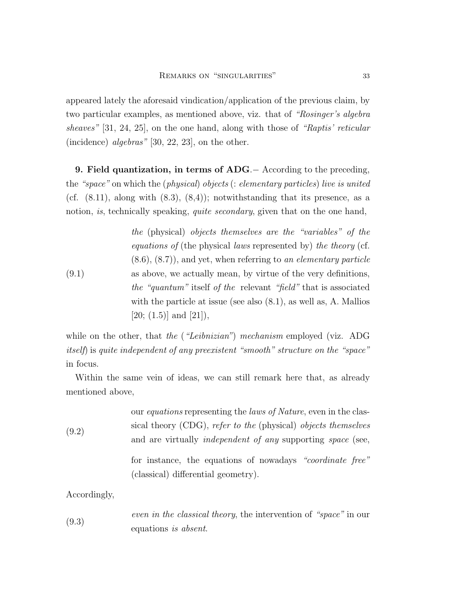appeared lately the aforesaid vindication/application of the previous claim, by two particular examples, as mentioned above, viz. that of "Rosinger's algebra sheaves" [31, 24, 25], on the one hand, along with those of "Raptis' reticular (incidence) algebras"  $[30, 22, 23]$ , on the other.

9. Field quantization, in terms of ADG.− According to the preceding, the "space" on which the (physical) objects (: elementary particles) live is united (cf.  $(8.11)$ , along with  $(8.3)$ ,  $(8.4)$ ); notwithstanding that its presence, as a notion, is, technically speaking, *quite secondary*, given that on the one hand,

(9.1) the (physical) objects themselves are the "variables" of the equations of (the physical laws represented by) the theory (cf.  $(8.6), (8.7)$ , and yet, when referring to an elementary particle as above, we actually mean, by virtue of the very definitions, the "quantum" itself of the relevant "field" that is associated with the particle at issue (see also (8.1), as well as, A. Mallios  $[20; (1.5)]$  and  $[21]$ ),

while on the other, that the ("Leibnizian") mechanism employed (viz. ADG itself) is quite independent of any preexistent "smooth" structure on the "space" in focus.

Within the same vein of ideas, we can still remark here that, as already mentioned above,

| (9.2) | our <i>equations</i> representing the <i>laws of Nature</i> , even in the clas-<br>sical theory (CDG), refer to the (physical) objects themselves |
|-------|---------------------------------------------------------------------------------------------------------------------------------------------------|
|       |                                                                                                                                                   |
|       | and are virtually <i>independent of any</i> supporting <i>space</i> (see,                                                                         |
|       | for instance, the equations of nowadays "coordinate free"                                                                                         |
|       | (classical) differential geometry).                                                                                                               |
|       |                                                                                                                                                   |

Accordingly,

| (9.3) | <i>even in the classical theory</i> , the intervention of "space" in our |  |
|-------|--------------------------------------------------------------------------|--|
|       | equations is absent.                                                     |  |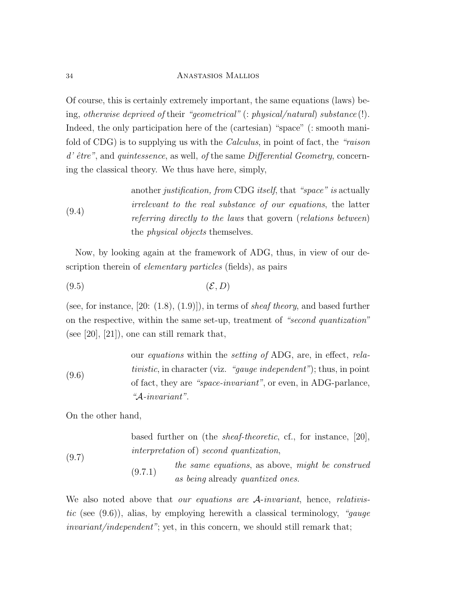Of course, this is certainly extremely important, the same equations (laws) being, otherwise deprived of their "geometrical" (: physical/natural) substance (!). Indeed, the only participation here of the (cartesian) "space" (: smooth manifold of CDG) is to supplying us with the Calculus, in point of fact, the "raison  $d'$  être", and quintessence, as well, of the same Differential Geometry, concerning the classical theory. We thus have here, simply,

(9.4) another *justification, from* CDG *itself*, that "*space*" is actually irrelevant to the real substance of our equations, the latter referring directly to the laws that govern (relations between) the *physical objects* themselves.

Now, by looking again at the framework of ADG, thus, in view of our description therein of *elementary particles* (fields), as pairs

$$
(9.5)\t\t\t\t\t(\mathcal{E}, D)
$$

(see, for instance,  $[20: (1.8), (1.9)]$ ), in terms of *sheaf theory*, and based further on the respective, within the same set-up, treatment of "second quantization" (see [20], [21]), one can still remark that,

(9.6) our equations within the setting of ADG, are, in effect, relativistic, in character (viz. "gauge independent"); thus, in point of fact, they are "space-invariant", or even, in ADG-parlance, "A-invariant".

On the other hand,

(9.7) based further on (the sheaf-theoretic, cf., for instance, [20], interpretation of) second quantization, (9.7.1) the same equations, as above, might be construed as being already quantized ones.

We also noted above that *our equations are A-invariant*, hence, *relativis*tic (see  $(9.6)$ ), alias, by employing herewith a classical terminology, "gauge invariant/independent"; yet, in this concern, we should still remark that;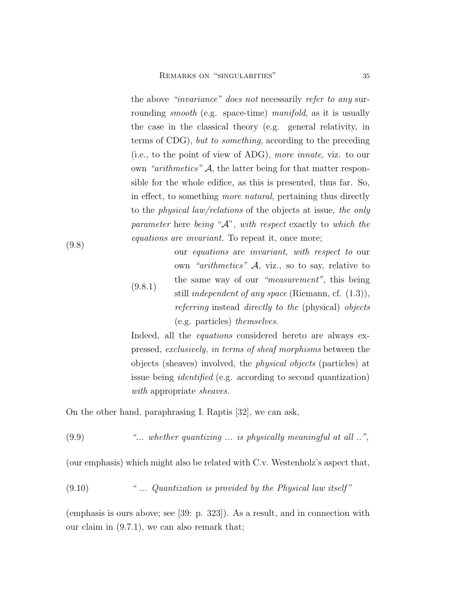the above "invariance" does not necessarily refer to any surrounding *smooth* (e.g. space-time) *manifold*, as it is usually the case in the classical theory (e.g. general relativity, in terms of CDG), but to something, according to the preceding (i.e., to the point of view of ADG), more innate, viz. to our own "arithmetics"  $A$ , the latter being for that matter responsible for the whole edifice, as this is presented, thus far. So, in effect, to something more natural, pertaining thus directly to the physical law/relations of the objects at issue, the only parameter here being "A", with respect exactly to which the equations are invariant. To repeat it, once more;

(9.8.1) our equations are invariant, with respect to our own "arithmetics"  $A$ , viz., so to say, relative to the same way of our "measurement", this being still *independent of any space* (Riemann, cf.  $(1.3)$ ), referring instead directly to the (physical) objects (e.g. particles) themselves.

Indeed, all the *equations* considered hereto are always expressed, exclusively, in terms of sheaf morphisms between the objects (sheaves) involved, the physical objects (particles) at issue being identified (e.g. according to second quantization) with appropriate *sheaves*.

On the other hand, paraphrasing I. Raptis [32], we can ask,

 $(9.9)$  "... whether quantizing ... is physically meaningful at all ..",

(our emphasis) which might also be related with C.v. Westenholz's aspect that,

 $(9.10)$  " ... Quantization is provided by the Physical law itself"

(emphasis is ours above; see [39: p. 323]). As a result, and in connection with our claim in (9.7.1), we can also remark that;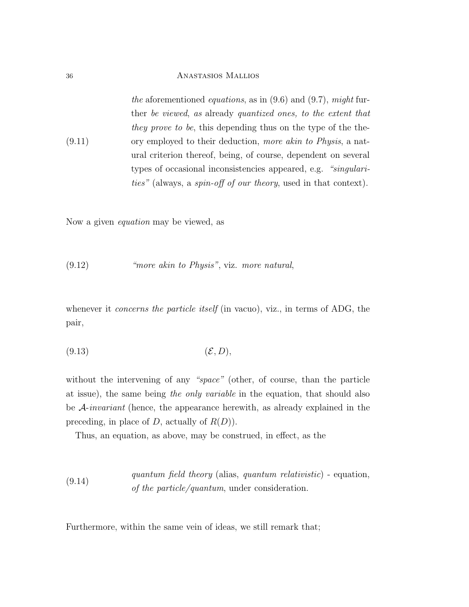(9.11) the aforementioned equations, as in  $(9.6)$  and  $(9.7)$ , might further be viewed, as already quantized ones, to the extent that they prove to be, this depending thus on the type of the theory employed to their deduction, more akin to Physis, a natural criterion thereof, being, of course, dependent on several types of occasional inconsistencies appeared, e.g. "singularities" (always, a spin-off of our theory, used in that context).

Now a given equation may be viewed, as

## (9.12) "more akin to Physis", viz. more natural,

whenever it *concerns the particle itself* (in vacuo), viz., in terms of ADG, the pair,

$$
(9.13)\t\t\t\t\t(\mathcal{E}, D),
$$

without the intervening of any "space" (other, of course, than the particle at issue), the same being the only variable in the equation, that should also be A-invariant (hence, the appearance herewith, as already explained in the preceding, in place of D, actually of  $R(D)$ ).

Thus, an equation, as above, may be construed, in effect, as the

(9.14) quantum field theory (alias, quantum relativistic) - equation, of the particle/quantum, under consideration.

Furthermore, within the same vein of ideas, we still remark that;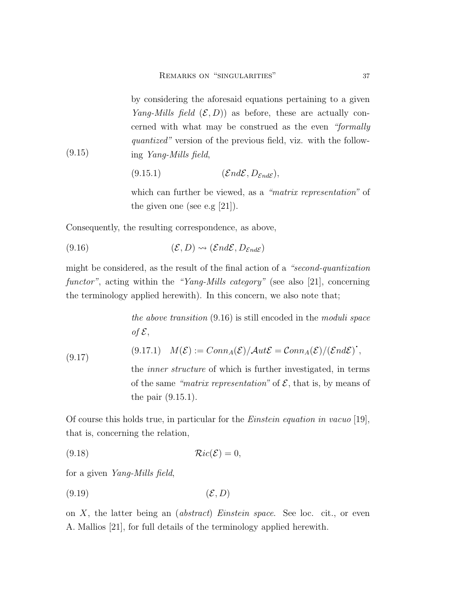by considering the aforesaid equations pertaining to a given *Yang-Mills field*  $(\mathcal{E}, D)$  as before, these are actually concerned with what may be construed as the even "formally quantized" version of the previous field, viz. with the following Yang-Mills field,

$$
(9.15.1) \qquad (\mathcal{E}nd\mathcal{E}, D_{\mathcal{E}nd\mathcal{E}}),
$$

which can further be viewed, as a "matrix representation" of the given one (see e.g [21]).

Consequently, the resulting correspondence, as above,

(9.16) 
$$
(\mathcal{E}, D) \rightsquigarrow (\mathcal{E}nd\mathcal{E}, D_{\mathcal{E}nd\mathcal{E}})
$$

(9.15)

might be considered, as the result of the final action of a "second-quantization functor", acting within the "Yang-Mills category" (see also [21], concerning the terminology applied herewith). In this concern, we also note that;

> the above transition (9.16) is still encoded in the moduli space of  $\mathcal{E},$

(9.17) 
$$
M(\mathcal{E}) := \text{Conn}_A(\mathcal{E}) / \text{Aut}\mathcal{E} = \text{Conn}_A(\mathcal{E}) / (\text{End}\mathcal{E})^{\text{!`}},
$$

the inner structure of which is further investigated, in terms of the same "matrix representation" of  $\mathcal{E}$ , that is, by means of the pair (9.15.1).

Of course this holds true, in particular for the Einstein equation in vacuo [19], that is, concerning the relation,

$$
(9.18)\t\t\t\t\t\mathcal{R}ic(\mathcal{E})=0,
$$

for a given Yang-Mills field,

$$
(9.19)\t\t\t\t\t(\mathcal{E}, D)
$$

on  $X$ , the latter being an *(abstract) Einstein space*. See loc. cit., or even A. Mallios [21], for full details of the terminology applied herewith.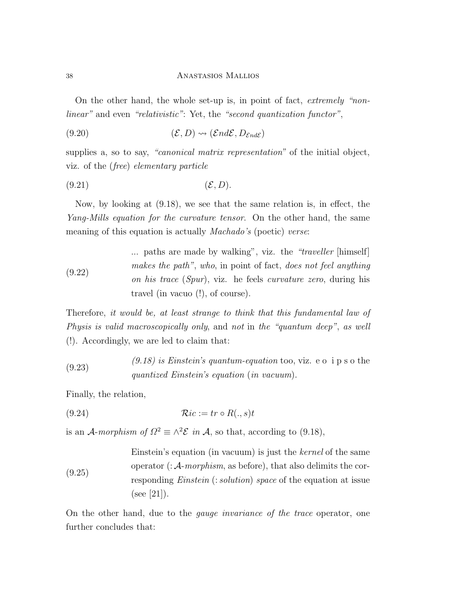On the other hand, the whole set-up is, in point of fact, extremely "nonlinear" and even "relativistic": Yet, the "second quantization functor",

$$
(9.20) \qquad (\mathcal{E}, D) \rightsquigarrow (\mathcal{E}nd\mathcal{E}, D_{\mathcal{E}nd\mathcal{E}})
$$

supplies a, so to say, "*canonical matrix representation*" of the initial object, viz. of the (free) elementary particle

$$
(9.21)\t\t\t\t\t(\mathcal{E}, D).
$$

Now, by looking at (9.18), we see that the same relation is, in effect, the Yang-Mills equation for the curvature tensor. On the other hand, the same meaning of this equation is actually *Machado's* (poetic) verse:

(9.22) ... paths are made by walking", viz. the "traveller [himself] makes the path", who, in point of fact, does not feel anything on his trace (Spur), viz. he feels curvature zero, during his travel (in vacuo (!), of course).

Therefore, it would be, at least strange to think that this fundamental law of Physis is valid macroscopically only, and not in the "quantum deep", as well (!). Accordingly, we are led to claim that:

(9.23)  $(9.18)$  is Einstein's quantum-equation too, viz. e o i p s o the quantized Einstein's equation (in vacuum).

Finally, the relation,

$$
(9.24) \t\t \mathcal{R}ic := tr \circ R(.,s)t
$$

is an A-morphism of  $\Omega^2 \equiv \wedge^2 \mathcal{E}$  in A, so that, according to (9.18),

Einstein's equation (in vacuum) is just the *kernel* of the same operator 
$$
(:\mathcal{A}\text{-}morphism
$$
, as before), that also delimits the corresponding Einstein  $(:solution)$  space of the equation at issue (see [21]).

On the other hand, due to the gauge invariance of the trace operator, one further concludes that: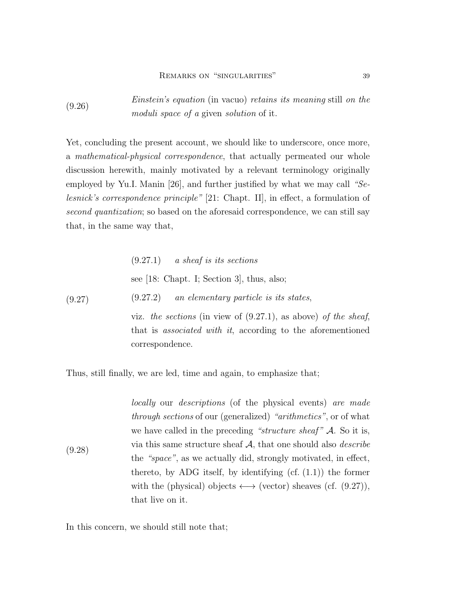(9.26) Einstein's equation (in vacuo) retains its meaning still on the moduli space of a given solution of it.

Yet, concluding the present account, we should like to underscore, once more, a mathematical-physical correspondence, that actually permeated our whole discussion herewith, mainly motivated by a relevant terminology originally employed by Yu.I. Manin [26], and further justified by what we may call "Selesnick's correspondence principle" [21: Chapt. II], in effect, a formulation of second quantization; so based on the aforesaid correspondence, we can still say that, in the same way that,

(9.27.1) a sheaf is its sections

\nsee [18: Chapt. I; Section 3], thus, also;

\n(9.27) *an elementary particle is its states,*

\nviz. the sections (in view of 
$$
(9.27.1)
$$
, as above) of the sheaf, that is associated with it, according to the aforementioned correspondence.

Thus, still finally, we are led, time and again, to emphasize that;

(9.28) locally our descriptions (of the physical events) are made through sections of our (generalized) "arithmetics", or of what we have called in the preceding "structure sheaf"  $\mathcal A$ . So it is, via this same structure sheaf  $A$ , that one should also *describe* the "space", as we actually did, strongly motivated, in effect, thereto, by ADG itself, by identifying  $(cf. (1.1))$  the former with the (physical) objects  $\longleftrightarrow$  (vector) sheaves (cf. (9.27)), that live on it.

In this concern, we should still note that;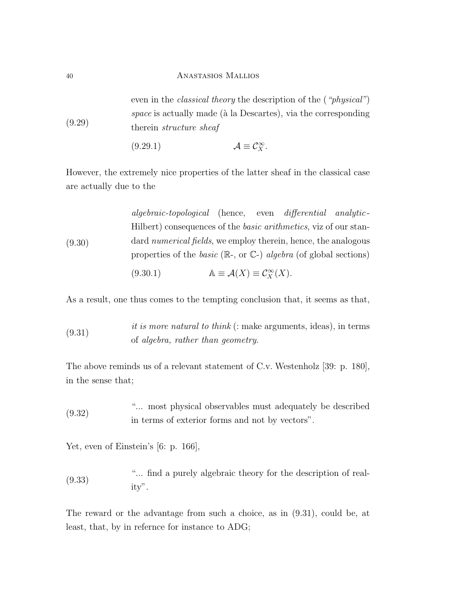(9.29) even in the *classical theory* the description of the (*"physical"*) space is actually made ( $\hat{a}$  la Descartes), via the corresponding therein structure sheaf

$$
(9.29.1) \t\t \mathcal{A} \equiv \mathcal{C}_X^{\infty}.
$$

However, the extremely nice properties of the latter sheaf in the classical case are actually due to the

(9.30) algebraic-topological (hence, even differential analytic-Hilbert) consequences of the *basic arithmetics*, viz of our standard numerical fields, we employ therein, hence, the analogous properties of the *basic* ( $\mathbb{R}$ -, or  $\mathbb{C}$ -) *algebra* (of global sections)

(9.30.1) 
$$
\mathbb{A} \equiv \mathcal{A}(X) \equiv \mathcal{C}_X^{\infty}(X).
$$

As a result, one thus comes to the tempting conclusion that, it seems as that,

 $it\ is\ more\ natural\ to\ think\ (:\ make\ arguments,\ ideas),\ in\ terms$ of algebra, rather than geometry.

The above reminds us of a relevant statement of C.v. Westenholz [39: p. 180], in the sense that;

(9.32) "... most physical observables must adequately be described in terms of exterior forms and not by vectors".

Yet, even of Einstein's [6: p. 166],

(9.33) "... find a purely algebraic theory for the description of reality".

The reward or the advantage from such a choice, as in (9.31), could be, at least, that, by in refernce for instance to ADG;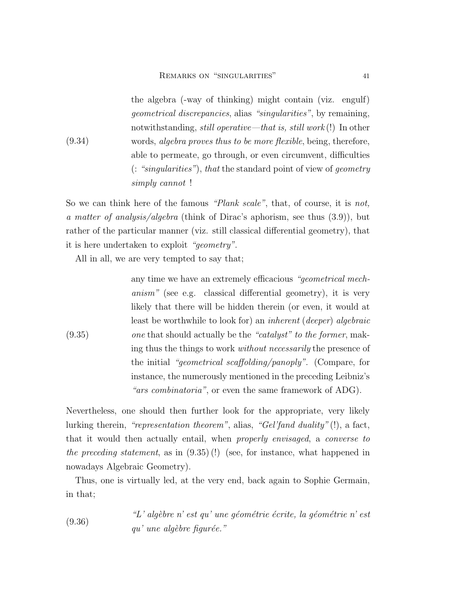(9.34) the algebra (-way of thinking) might contain (viz. engulf) geometrical discrepancies, alias "singularities", by remaining, notwithstanding, still operative—that is, still work (!) In other words, algebra proves thus to be more flexible, being, therefore, able to permeate, go through, or even circumvent, difficulties (: "singularities"), that the standard point of view of geometry simply cannot !

So we can think here of the famous "Plank scale", that, of course, it is not, a matter of analysis/algebra (think of Dirac's aphorism, see thus (3.9)), but rather of the particular manner (viz. still classical differential geometry), that it is here undertaken to exploit "geometry".

All in all, we are very tempted to say that;

(9.35) any time we have an extremely efficacious "geometrical mechanism" (see e.g. classical differential geometry), it is very likely that there will be hidden therein (or even, it would at least be worthwhile to look for) an *inherent* (*deeper*) *algebraic* one that should actually be the "catalyst" to the former, making thus the things to work without necessarily the presence of the initial "geometrical scaffolding/panoply". (Compare, for instance, the numerously mentioned in the preceding Leibniz's "*ars combinatoria*", or even the same framework of ADG).

Nevertheless, one should then further look for the appropriate, very likely lurking therein, "representation theorem", alias, "Gel'fand duality" (!), a fact, that it would then actually entail, when properly envisaged, a converse to the preceding statement, as in (9.35) (!) (see, for instance, what happened in nowadays Algebraic Geometry).

Thus, one is virtually led, at the very end, back again to Sophie Germain, in that;

(9.36) 
$$
"L'
$$
 algèbre n'est qu'une géométrie écrite, la géométrie n'est qu' une algèbre figure."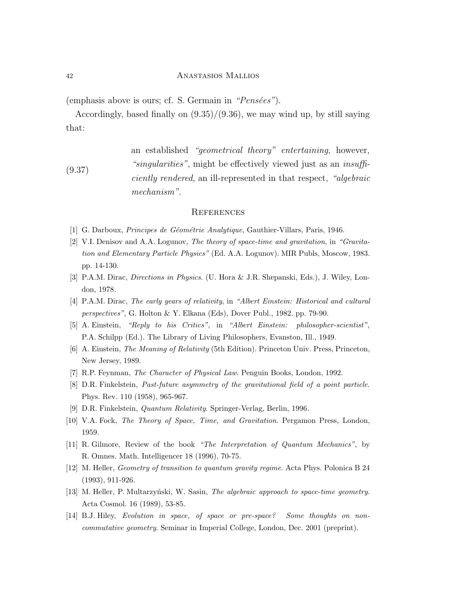(emphasis above is ours; cf. S. Germain in " $Pensées$ ").

Accordingly, based finally on  $(9.35)/(9.36)$ , we may wind up, by still saying that:

(9.37) an established "geometrical theory" entertaining, however, "singularities", might be effectively viewed just as an insufficiently rendered, an ill-represented in that respect, "algebraic mechanism".

#### **REFERENCES**

- [1] G. Darboux, *Principes de Géométrie Analytique*, Gauthier-Villars, Paris, 1946.
- [2] V.I. Denisov and A.A. Logunov, The theory of space-time and gravitation, in "Gravitation and Elementary Particle Physics" (Ed. A.A. Logunov). MIR Publs, Moscow, 1983. pp. 14-130.
- [3] P.A.M. Dirac, Directions in Physics. (U. Hora & J.R. Shepanski, Eds.), J. Wiley, London, 1978.
- [4] P.A.M. Dirac, The early years of relativity, in "Albert Einstein: Historical and cultural perspectives", G. Holton & Y. Elkana (Eds), Dover Publ., 1982. pp. 79-90.
- [5] A. Einstein, "Reply to his Critics", in "Albert Einstein: philosopher-scientist", P.A. Schilpp (Ed.). The Library of Living Philosophers, Evanston, Ill., 1949.
- [6] A. Einstein, The Meaning of Relativity (5th Edition). Princeton Univ. Press, Princeton, New Jersey, 1989.
- [7] R.P. Feynman, The Character of Physical Law. Penguin Books, London, 1992.
- [8] D.R. Finkelstein, Past-future asymmetry of the gravitational field of a point particle. Phys. Rev. 110 (1958), 965-967.
- [9] D.R. Finkelstein, Quantum Relativity. Springer-Verlag, Berlin, 1996.
- [10] V.A. Fock, The Theory of Space, Time, and Gravitation. Pergamon Press, London, 1959.
- [11] R. Gilmore, Review of the book "The Interpretation of Quantum Mechanics", by R. Omnes. Math. Intelligencer 18 (1996), 70-75.
- [12] M. Heller, Geometry of transition to quantum gravity regime. Acta Phys. Polonica B 24 (1993), 911-926.
- [13] M. Heller, P. Multarzyński, W. Sasin, The algebraic approach to space-time geometry. Acta Cosmol. 16 (1989), 53-85.
- [14] B.J. Hiley, Evolution in space, of space or pre-space? Some thoughts on noncommutative geometry. Seminar in Imperial College, London, Dec. 2001 (preprint).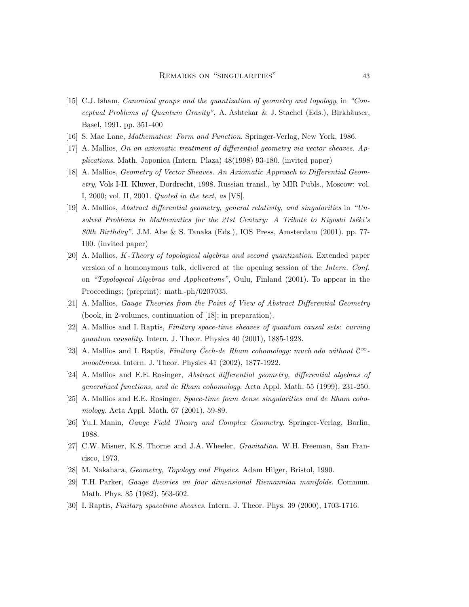- [15] C.J. Isham, Canonical groups and the quantization of geometry and topology, in "Conceptual Problems of Quantum Gravity", A. Ashtekar & J. Stachel (Eds.), Birkhäuser, Basel, 1991. pp. 351-400
- [16] S. Mac Lane, Mathematics: Form and Function. Springer-Verlag, New York, 1986.
- [17] A. Mallios, On an axiomatic treatment of differential geometry via vector sheaves. Applications. Math. Japonica (Intern. Plaza) 48(1998) 93-180. (invited paper)
- [18] A. Mallios, Geometry of Vector Sheaves. An Axiomatic Approach to Differential Geometry, Vols I-II. Kluwer, Dordrecht, 1998. Russian transl., by MIR Publs., Moscow: vol. I, 2000; vol. II, 2001. Quoted in the text, as [VS].
- [19] A. Mallios, Abstract differential geometry, general relativity, and singularities in "Unsolved Problems in Mathematics for the  $21st$  Century: A Tribute to Kiyoshi Iséki's 80th Birthday". J.M. Abe & S. Tanaka (Eds.), IOS Press, Amsterdam (2001). pp. 77- 100. (invited paper)
- [20] A. Mallios, K-Theory of topological algebras and second quantization. Extended paper version of a homonymous talk, delivered at the opening session of the Intern. Conf. on "Topological Algebras and Applications", Oulu, Finland (2001). To appear in the Proceedings; (preprint): math.-ph/0207035.
- [21] A. Mallios, Gauge Theories from the Point of View of Abstract Differential Geometry (book, in 2-volumes, continuation of [18]; in preparation).
- [22] A. Mallios and I. Raptis, Finitary space-time sheaves of quantum causal sets: curving quantum causality. Intern. J. Theor. Physics 40 (2001), 1885-1928.
- [23] A. Mallios and I. Raptis, Finitary Cech-de Rham cohomology: much ado without  $\mathcal{C}^{\infty}$ smoothness. Intern. J. Theor. Physics 41 (2002), 1877-1922.
- [24] A. Mallios and E.E. Rosinger, Abstract differential geometry, differential algebras of generalized functions, and de Rham cohomology. Acta Appl. Math. 55 (1999), 231-250.
- [25] A. Mallios and E.E. Rosinger, Space-time foam dense singularities and de Rham cohomology. Acta Appl. Math. 67 (2001), 59-89.
- [26] Yu.I. Manin, Gauge Field Theory and Complex Geometry. Springer-Verlag, Barlin, 1988.
- [27] C.W. Misner, K.S. Thorne and J.A. Wheeler, Gravitation. W.H. Freeman, San Francisco, 1973.
- [28] M. Nakahara, Geometry, Topology and Physics. Adam Hilger, Bristol, 1990.
- [29] T.H. Parker, Gauge theories on four dimensional Riemannian manifolds. Commun. Math. Phys. 85 (1982), 563-602.
- [30] I. Raptis, Finitary spacetime sheaves. Intern. J. Theor. Phys. 39 (2000), 1703-1716.